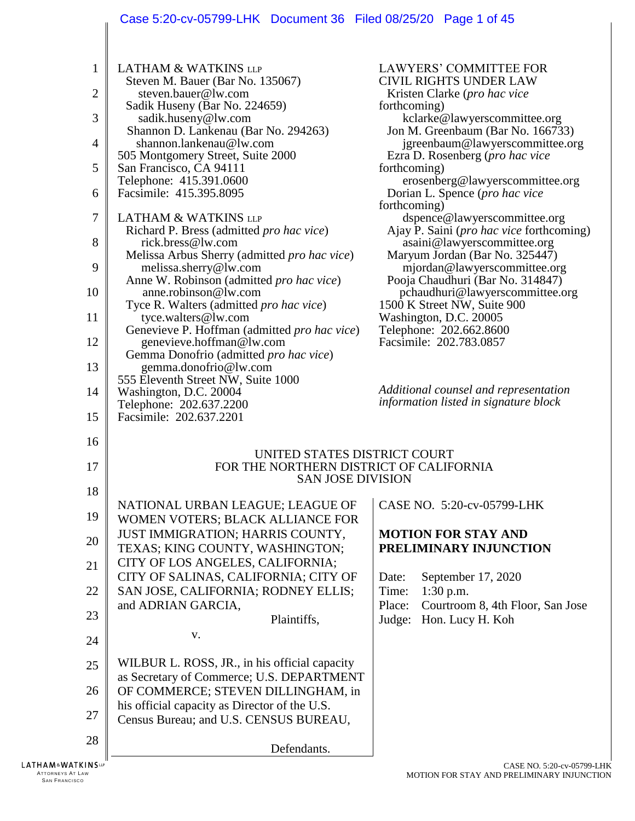|                | Case 5:20-cv-05799-LHK Document 36 Filed 08/25/20 Page 1 of 45                      |                                                                          |
|----------------|-------------------------------------------------------------------------------------|--------------------------------------------------------------------------|
| 1              | <b>LATHAM &amp; WATKINS LLP</b>                                                     | <b>LAWYERS' COMMITTEE FOR</b>                                            |
|                | Steven M. Bauer (Bar No. 135067)                                                    | <b>CIVIL RIGHTS UNDER LAW</b>                                            |
| 2              | steven.bauer@lw.com<br>Sadik Huseny (Bar No. 224659)                                | Kristen Clarke (pro hac vice<br>forthcoming)                             |
| 3              | sadik.huseny@lw.com                                                                 | kclarke@lawyerscommittee.org                                             |
| $\overline{4}$ | Shannon D. Lankenau (Bar No. 294263)<br>shannon.lankenau@lw.com                     | Jon M. Greenbaum (Bar No. 166733)<br>jgreenbaum@lawyerscommittee.org     |
|                | 505 Montgomery Street, Suite 2000                                                   | Ezra D. Rosenberg (pro hac vice                                          |
| 5              | San Francisco, CA 94111                                                             | forthcoming)                                                             |
| 6              | Telephone: 415.391.0600<br>Facsimile: 415.395.8095                                  | erosenberg@lawyerscommittee.org<br>Dorian L. Spence (pro hac vice        |
|                |                                                                                     | forthcoming)                                                             |
| $\overline{7}$ | <b>LATHAM &amp; WATKINS LLP</b><br>Richard P. Bress (admitted pro hac vice)         | dspence@lawyerscommittee.org<br>Ajay P. Saini (pro hac vice forthcoming) |
| 8              | rick.bress@lw.com                                                                   | asaini@lawyerscommittee.org                                              |
| 9              | Melissa Arbus Sherry (admitted pro hac vice)<br>melissa.sherry@lw.com               | Maryum Jordan (Bar No. 325447)<br>mjordan@lawyerscommittee.org           |
|                | Anne W. Robinson (admitted pro hac vice)                                            | Pooja Chaudhuri (Bar No. 314847)                                         |
| 10             | anne.robinson@lw.com<br>Tyce R. Walters (admitted pro hac vice)                     | pchaudhuri@lawyerscommittee.org<br>1500 K Street NW, Suite 900           |
| 11             | tyce.walters@lw.com                                                                 | Washington, D.C. 20005                                                   |
| 12             | Genevieve P. Hoffman (admitted pro hac vice)                                        | Telephone: 202.662.8600<br>Facsimile: 202.783.0857                       |
|                | genevieve.hoffman@lw.com<br>Gemma Donofrio (admitted pro hac vice)                  |                                                                          |
| 13             | gemma.donofrio@lw.com                                                               |                                                                          |
| 14             | 555 Eleventh Street NW, Suite 1000<br>Washington, D.C. 20004                        | Additional counsel and representation                                    |
|                | Telephone: 202.637.2200                                                             | information listed in signature block                                    |
| 15             | Facsimile: 202.637.2201                                                             |                                                                          |
| 16             |                                                                                     |                                                                          |
| 17             | UNITED STATES DISTRICT COURT<br>FOR THE NORTHERN DISTRICT OF CALIFORNIA             |                                                                          |
|                | <b>SAN JOSE DIVISION</b>                                                            |                                                                          |
| 18             | NATIONAL URBAN LEAGUE; LEAGUE OF                                                    | CASE NO. 5:20-cv-05799-LHK                                               |
| 19             | WOMEN VOTERS; BLACK ALLIANCE FOR                                                    |                                                                          |
| 20             | JUST IMMIGRATION; HARRIS COUNTY,                                                    | <b>MOTION FOR STAY AND</b>                                               |
|                | TEXAS; KING COUNTY, WASHINGTON;                                                     | PRELIMINARY INJUNCTION                                                   |
| 21             | CITY OF LOS ANGELES, CALIFORNIA;<br>CITY OF SALINAS, CALIFORNIA; CITY OF            | September 17, 2020<br>Date:                                              |
| 22             | SAN JOSE, CALIFORNIA; RODNEY ELLIS;                                                 | Time:<br>$1:30$ p.m.                                                     |
| 23             | and ADRIAN GARCIA,                                                                  | Courtroom 8, 4th Floor, San Jose<br>Place:                               |
|                | Plaintiffs,                                                                         | Hon. Lucy H. Koh<br>Judge:                                               |
| 24             | V.                                                                                  |                                                                          |
| 25             | WILBUR L. ROSS, JR., in his official capacity                                       |                                                                          |
|                | as Secretary of Commerce; U.S. DEPARTMENT                                           |                                                                          |
| 26             | OF COMMERCE; STEVEN DILLINGHAM, in<br>his official capacity as Director of the U.S. |                                                                          |
| 27             | Census Bureau; and U.S. CENSUS BUREAU,                                              |                                                                          |
| 28             |                                                                                     |                                                                          |
|                | Defendants.                                                                         |                                                                          |
| TKINS∟⊮        |                                                                                     | $C$ ASE NO 5:20- $_{\rm{CV}}$ -05799-1                                   |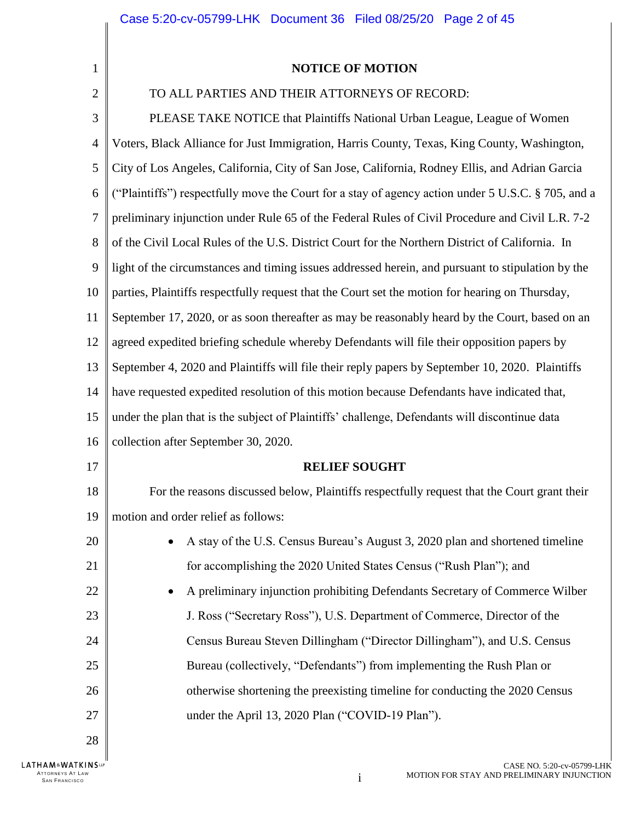$\begin{array}{c} \hline \end{array}$ 

| 1                 | <b>NOTICE OF MOTION</b>                                                                            |
|-------------------|----------------------------------------------------------------------------------------------------|
| $\overline{2}$    | TO ALL PARTIES AND THEIR ATTORNEYS OF RECORD:                                                      |
| 3                 | PLEASE TAKE NOTICE that Plaintiffs National Urban League, League of Women                          |
| $\overline{4}$    | Voters, Black Alliance for Just Immigration, Harris County, Texas, King County, Washington,        |
| 5                 | City of Los Angeles, California, City of San Jose, California, Rodney Ellis, and Adrian Garcia     |
| 6                 | ("Plaintiffs") respectfully move the Court for a stay of agency action under 5 U.S.C. § 705, and a |
| $\overline{7}$    | preliminary injunction under Rule 65 of the Federal Rules of Civil Procedure and Civil L.R. 7-2    |
| 8                 | of the Civil Local Rules of the U.S. District Court for the Northern District of California. In    |
| 9                 | light of the circumstances and timing issues addressed herein, and pursuant to stipulation by the  |
| 10                | parties, Plaintiffs respectfully request that the Court set the motion for hearing on Thursday,    |
| 11                | September 17, 2020, or as soon thereafter as may be reasonably heard by the Court, based on an     |
| 12                | agreed expedited briefing schedule whereby Defendants will file their opposition papers by         |
| 13                | September 4, 2020 and Plaintiffs will file their reply papers by September 10, 2020. Plaintiffs    |
| 14                | have requested expedited resolution of this motion because Defendants have indicated that,         |
| 15                | under the plan that is the subject of Plaintiffs' challenge, Defendants will discontinue data      |
| 16                | collection after September 30, 2020.                                                               |
| 17                | <b>RELIEF SOUGHT</b>                                                                               |
| 18                | For the reasons discussed below, Plaintiffs respectfully request that the Court grant their        |
| 19                | motion and order relief as follows:                                                                |
| 20                | A stay of the U.S. Census Bureau's August 3, 2020 plan and shortened timeline                      |
| 21                | for accomplishing the 2020 United States Census ("Rush Plan"); and                                 |
| 22                | A preliminary injunction prohibiting Defendants Secretary of Commerce Wilber                       |
| 23                | J. Ross ("Secretary Ross"), U.S. Department of Commerce, Director of the                           |
| 24                | Census Bureau Steven Dillingham ("Director Dillingham"), and U.S. Census                           |
| 25                | Bureau (collectively, "Defendants") from implementing the Rush Plan or                             |
| 26                | otherwise shortening the preexisting timeline for conducting the 2020 Census                       |
| 27                | under the April 13, 2020 Plan ("COVID-19 Plan").                                                   |
| 28                |                                                                                                    |
| LATHAM&WATKINSLLP | CASE NO. 5:20-cv-05799-LHK                                                                         |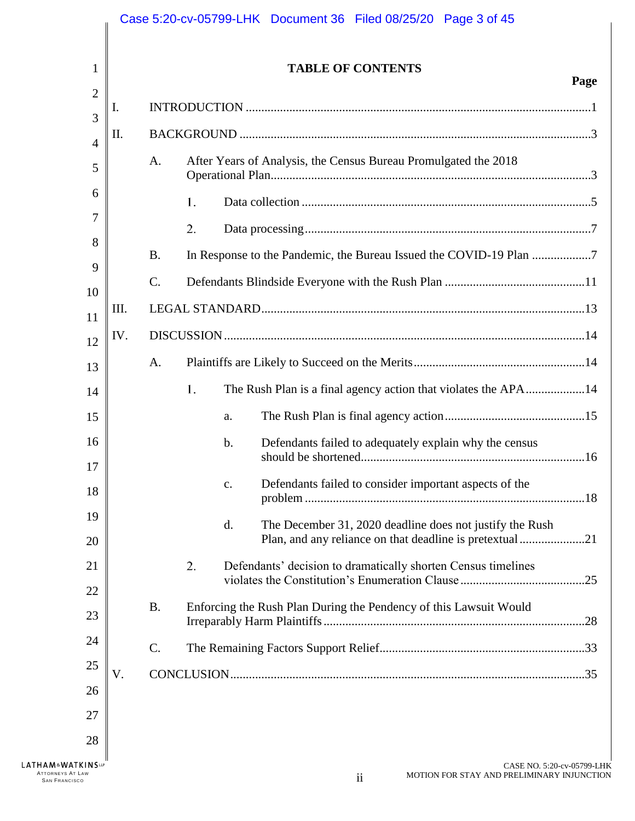| 1              |                 |    | <b>TABLE OF CONTENTS</b>                                                                                                   | Page |
|----------------|-----------------|----|----------------------------------------------------------------------------------------------------------------------------|------|
| $\overline{2}$ | Ι.              |    |                                                                                                                            |      |
| 3              | II.             |    |                                                                                                                            |      |
| 4<br>5         | A.              |    | After Years of Analysis, the Census Bureau Promulgated the 2018                                                            |      |
| 6              |                 | 1. |                                                                                                                            |      |
| 7              |                 | 2. |                                                                                                                            |      |
| 8              | <b>B.</b>       |    | In Response to the Pandemic, the Bureau Issued the COVID-19 Plan                                                           |      |
| 9<br>10        | $\mathcal{C}$ . |    |                                                                                                                            |      |
| 11             | Ш.              |    |                                                                                                                            |      |
| 12             | IV.             |    |                                                                                                                            |      |
| 13             | A.              |    |                                                                                                                            |      |
| 14             |                 | 1. | The Rush Plan is a final agency action that violates the APA14                                                             |      |
| 15             |                 |    | a.                                                                                                                         |      |
| 16             |                 |    | Defendants failed to adequately explain why the census<br>$\mathbf b$ .                                                    |      |
| 17<br>18       |                 |    | Defendants failed to consider important aspects of the<br>c.                                                               |      |
| 19<br>20       |                 |    | d.<br>The December 31, 2020 deadline does not justify the Rush<br>Plan, and any reliance on that deadline is pretextual 21 |      |
| 21             |                 | 2. | Defendants' decision to dramatically shorten Census timelines                                                              | .25  |
| 22<br>23       | <b>B.</b>       |    | Enforcing the Rush Plan During the Pendency of this Lawsuit Would                                                          |      |
| 24             | $\mathcal{C}$ . |    |                                                                                                                            |      |
| 25             | V.              |    |                                                                                                                            |      |
| 26             |                 |    |                                                                                                                            |      |
| 27             |                 |    |                                                                                                                            |      |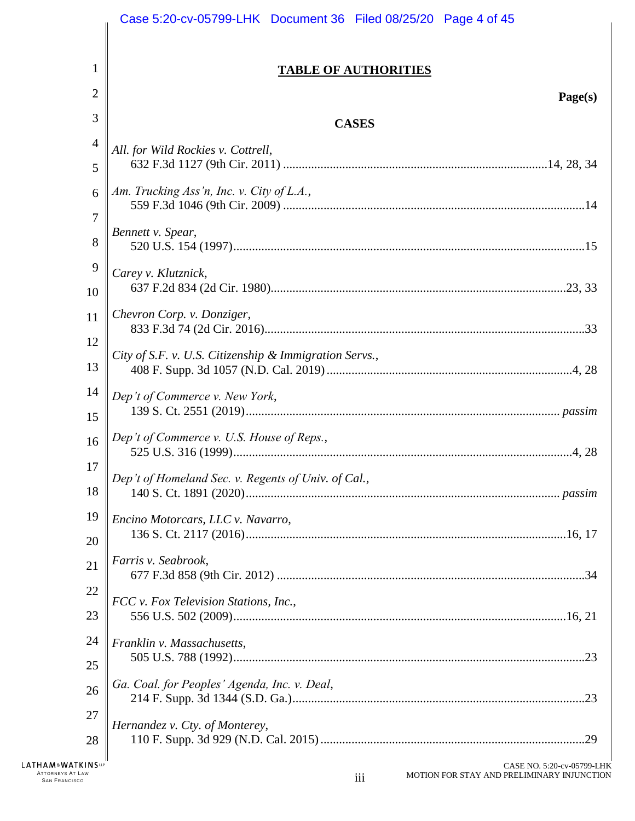|                                                                                | Case 5:20-cv-05799-LHK Document 36 Filed 08/25/20 Page 4 of 45                  |
|--------------------------------------------------------------------------------|---------------------------------------------------------------------------------|
|                                                                                |                                                                                 |
| 1                                                                              | <b>TABLE OF AUTHORITIES</b>                                                     |
| 2                                                                              | Page(s)                                                                         |
| 3                                                                              | <b>CASES</b>                                                                    |
| 4                                                                              | All. for Wild Rockies v. Cottrell,                                              |
| 5                                                                              |                                                                                 |
| 6                                                                              | Am. Trucking Ass'n, Inc. v. City of L.A.,                                       |
| 7                                                                              | Bennett v. Spear,                                                               |
| 8                                                                              |                                                                                 |
| 9<br>10                                                                        | Carey v. Klutznick,                                                             |
| 11                                                                             | Chevron Corp. v. Donziger,                                                      |
| 12                                                                             |                                                                                 |
| 13                                                                             | City of S.F. v. U.S. Citizenship & Immigration Servs.,                          |
| 14                                                                             | Dep't of Commerce v. New York,                                                  |
| 15                                                                             |                                                                                 |
| 16                                                                             | Dep't of Commerce v. U.S. House of Reps.,                                       |
| 17                                                                             | Dep't of Homeland Sec. v. Regents of Univ. of Cal.,                             |
| 18                                                                             |                                                                                 |
| 19                                                                             | Encino Motorcars, LLC v. Navarro,                                               |
| 20                                                                             |                                                                                 |
| 21                                                                             | Farris v. Seabrook,                                                             |
| 22                                                                             | FCC v. Fox Television Stations, Inc.,                                           |
| 23                                                                             |                                                                                 |
| 24                                                                             | Franklin v. Massachusetts,                                                      |
| 25                                                                             |                                                                                 |
| 26                                                                             | Ga. Coal. for Peoples' Agenda, Inc. v. Deal,                                    |
| 27                                                                             | Hernandez v. Cty. of Monterey,                                                  |
| 28                                                                             |                                                                                 |
| <b>LATHAM&amp;WATKINSUP</b><br><b>ATTORNEYS AT LAW</b><br><b>SAN FRANCISCO</b> | CASE NO. 5:20-cv-05799-LHK<br>MOTION FOR STAY AND PRELIMINARY INJUNCTION<br>iii |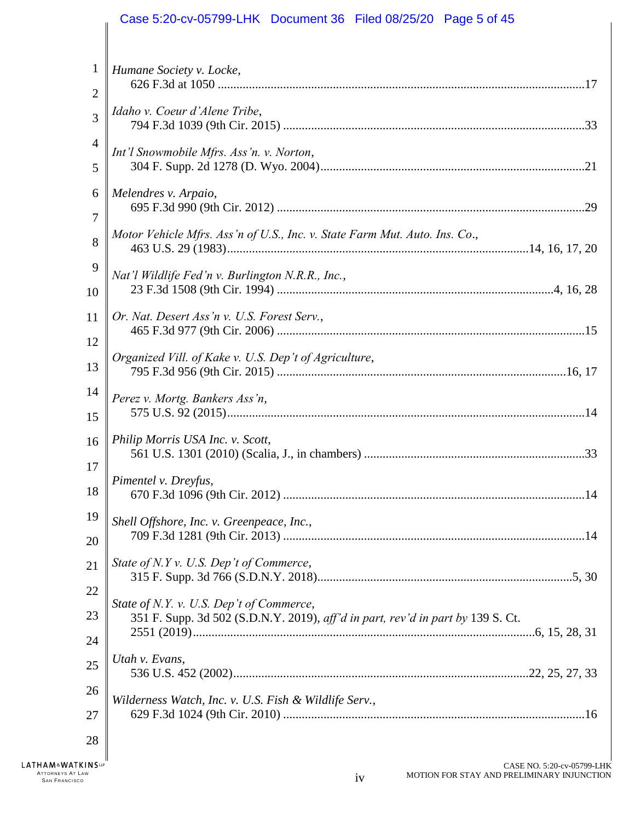# Case 5:20-cv-05799-LHK Document 36 Filed 08/25/20 Page 5 of 45

| $\mathbf{1}$   | Humane Society v. Locke,                                                                                                    |
|----------------|-----------------------------------------------------------------------------------------------------------------------------|
| $\overline{2}$ |                                                                                                                             |
| 3              | Idaho v. Coeur d'Alene Tribe,                                                                                               |
| 4              | Int'l Snowmobile Mfrs. Ass'n. v. Norton,                                                                                    |
| 5              |                                                                                                                             |
| 6              | Melendres v. Arpaio,                                                                                                        |
| 7              |                                                                                                                             |
| 8              | Motor Vehicle Mfrs. Ass'n of U.S., Inc. v. State Farm Mut. Auto. Ins. Co.,                                                  |
| 9              |                                                                                                                             |
| 10             | Nat'l Wildlife Fed'n v. Burlington N.R.R., Inc.,                                                                            |
| 11             | Or. Nat. Desert Ass'n v. U.S. Forest Serv.,                                                                                 |
| 12             |                                                                                                                             |
| 13             | Organized Vill. of Kake v. U.S. Dep't of Agriculture,                                                                       |
| 14             |                                                                                                                             |
| 15             | Perez v. Mortg. Bankers Ass'n,                                                                                              |
|                |                                                                                                                             |
| 16<br>17       | Philip Morris USA Inc. v. Scott,                                                                                            |
|                | Pimentel v. Dreyfus,                                                                                                        |
| 18             |                                                                                                                             |
| 19             | Shell Offshore, Inc. v. Greenpeace, Inc.,                                                                                   |
| 20             |                                                                                                                             |
| 21             | State of N.Y v. U.S. Dep't of Commerce,                                                                                     |
| 22             |                                                                                                                             |
| 23             | State of N.Y. v. U.S. Dep't of Commerce,<br>351 F. Supp. 3d 502 (S.D.N.Y. 2019), aff'd in part, rev'd in part by 139 S. Ct. |
| 24             |                                                                                                                             |
| 25             | Utah v. Evans,                                                                                                              |
|                |                                                                                                                             |
| 26             | Wilderness Watch, Inc. v. U.S. Fish & Wildlife Serv.,                                                                       |
| 27             |                                                                                                                             |
| 28             |                                                                                                                             |
| <b>INSLP</b>   | CASE NO. 5:20-cv-05799-LH                                                                                                   |

LATHAM&WATKI ATTORNEYS AT LAW  $i$  such a set of the set of the set of the set of the set of  $i$  v  $i$  v  $i$  v  $i$  v  $i$  v  $i$  v  $i$  v  $i$  v  $i$  v  $i$  v  $i$  v  $i$  v  $i$  v  $i$  v  $i$  v  $i$  v  $i$  v  $i$  v  $i$  v  $i$  v  $i$  v  $i$  v  $i$  v  $i$ 

 $\frac{1}{2}$  $\parallel$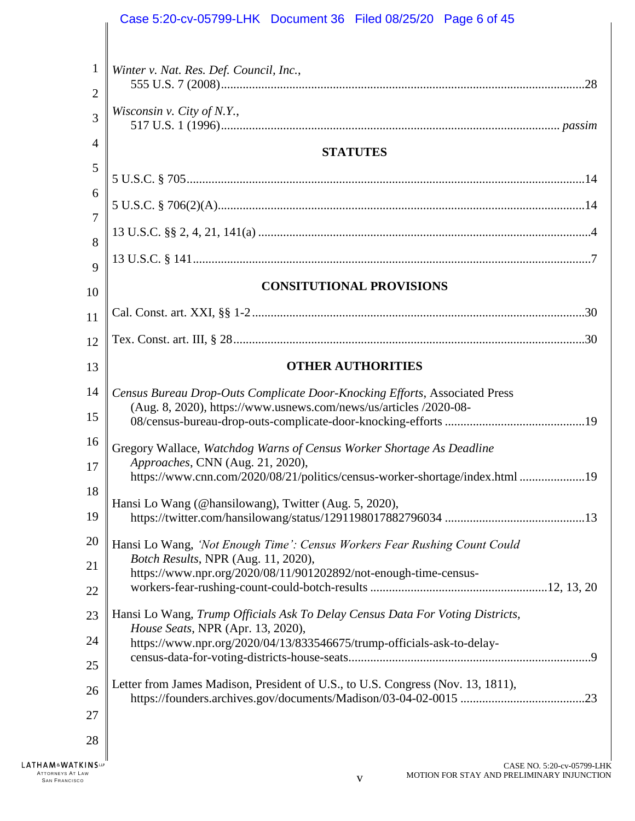|                                                                                                                     | Case 5:20-cv-05799-LHK Document 36 Filed 08/25/20 Page 6 of 45                                                                                  |
|---------------------------------------------------------------------------------------------------------------------|-------------------------------------------------------------------------------------------------------------------------------------------------|
|                                                                                                                     |                                                                                                                                                 |
| $\mathbf{1}$<br>2                                                                                                   | Winter v. Nat. Res. Def. Council, Inc.,                                                                                                         |
| 3                                                                                                                   | Wisconsin v. City of N.Y.,                                                                                                                      |
| 4                                                                                                                   |                                                                                                                                                 |
| 5                                                                                                                   | <b>STATUTES</b>                                                                                                                                 |
| 6                                                                                                                   |                                                                                                                                                 |
| 7                                                                                                                   |                                                                                                                                                 |
| 8                                                                                                                   |                                                                                                                                                 |
| 9                                                                                                                   |                                                                                                                                                 |
| 10                                                                                                                  | <b>CONSITUTIONAL PROVISIONS</b>                                                                                                                 |
| 11                                                                                                                  |                                                                                                                                                 |
| 12                                                                                                                  |                                                                                                                                                 |
| 13                                                                                                                  | <b>OTHER AUTHORITIES</b>                                                                                                                        |
| 14<br>15                                                                                                            | Census Bureau Drop-Outs Complicate Door-Knocking Efforts, Associated Press<br>(Aug. 8, 2020), https://www.usnews.com/news/us/articles /2020-08- |
| 16                                                                                                                  | Gregory Wallace, Watchdog Warns of Census Worker Shortage As Deadline                                                                           |
| 17                                                                                                                  | Approaches, CNN (Aug. 21, 2020),<br>https://www.cnn.com/2020/08/21/politics/census-worker-shortage/index.html 19                                |
| 18                                                                                                                  |                                                                                                                                                 |
| 19                                                                                                                  | Hansi Lo Wang (@hansilowang), Twitter (Aug. 5, 2020),                                                                                           |
| 20                                                                                                                  | Hansi Lo Wang, 'Not Enough Time': Census Workers Fear Rushing Count Could                                                                       |
| Botch Results, NPR (Aug. 11, 2020),<br>21<br>https://www.npr.org/2020/08/11/901202892/not-enough-time-census-<br>22 |                                                                                                                                                 |
|                                                                                                                     |                                                                                                                                                 |
| 23                                                                                                                  | Hansi Lo Wang, Trump Officials Ask To Delay Census Data For Voting Districts,                                                                   |
| 24                                                                                                                  | House Seats, NPR (Apr. 13, 2020),<br>https://www.npr.org/2020/04/13/833546675/trump-officials-ask-to-delay-                                     |
| 25                                                                                                                  |                                                                                                                                                 |
| 26                                                                                                                  | Letter from James Madison, President of U.S., to U.S. Congress (Nov. 13, 1811),                                                                 |
| 27                                                                                                                  |                                                                                                                                                 |
| 28                                                                                                                  |                                                                                                                                                 |
|                                                                                                                     |                                                                                                                                                 |

LATHAM<sup>&</sup>WATKINSLP ATTORNEYS AT LAW<br>SAN FRANCISCO version of the state of the state of the state of the state of the state of the state of the sta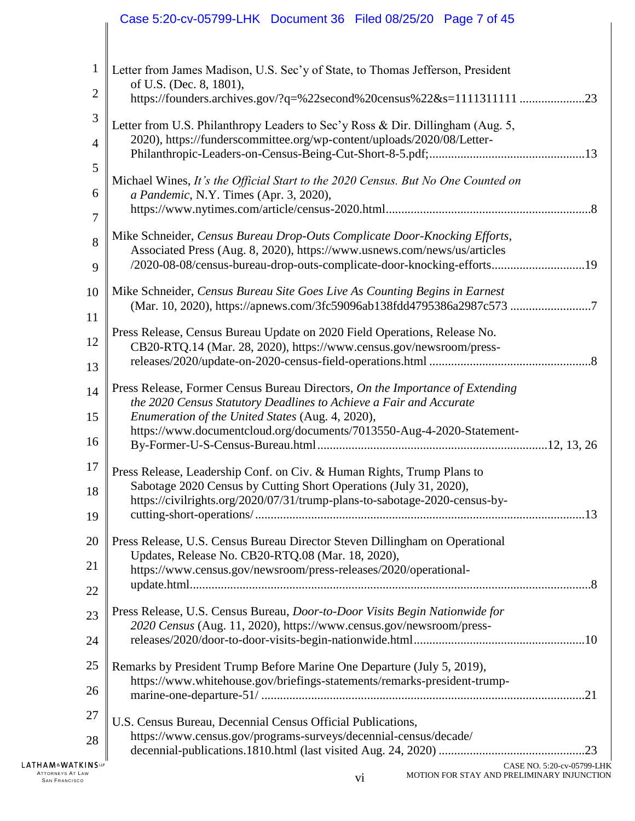# Case 5:20-cv-05799-LHK Document 36 Filed 08/25/20 Page 7 of 45

| 1              | Letter from James Madison, U.S. Sec'y of State, to Thomas Jefferson, President                                                                          |
|----------------|---------------------------------------------------------------------------------------------------------------------------------------------------------|
| $\overline{2}$ | of U.S. (Dec. 8, 1801),<br>https://founders.archives.gov/?q=%22second%20census%22&s=1111311111 23                                                       |
| 3              | Letter from U.S. Philanthropy Leaders to Sec'y Ross & Dir. Dillingham (Aug. 5,                                                                          |
| $\overline{4}$ | 2020), https://funderscommittee.org/wp-content/uploads/2020/08/Letter-                                                                                  |
| 5              |                                                                                                                                                         |
| 6              | Michael Wines, It's the Official Start to the 2020 Census. But No One Counted on<br>a Pandemic, N.Y. Times (Apr. 3, 2020),                              |
| 7              | $\mathcal{S}$                                                                                                                                           |
| 8              | Mike Schneider, Census Bureau Drop-Outs Complicate Door-Knocking Efforts,<br>Associated Press (Aug. 8, 2020), https://www.usnews.com/news/us/articles   |
| 9              | /2020-08-08/census-bureau-drop-outs-complicate-door-knocking-efforts19                                                                                  |
| 10             | Mike Schneider, Census Bureau Site Goes Live As Counting Begins in Earnest<br>(Mar. 10, 2020), https://apnews.com/3fc59096ab138fdd4795386a2987c573<br>7 |
| 11             |                                                                                                                                                         |
| 12             | Press Release, Census Bureau Update on 2020 Field Operations, Release No.<br>CB20-RTQ.14 (Mar. 28, 2020), https://www.census.gov/newsroom/press-        |
| 13             |                                                                                                                                                         |
| 14             | Press Release, Former Census Bureau Directors, On the Importance of Extending<br>the 2020 Census Statutory Deadlines to Achieve a Fair and Accurate     |
| 15             | Enumeration of the United States (Aug. 4, 2020),                                                                                                        |
| 16             | https://www.documentcloud.org/documents/7013550-Aug-4-2020-Statement-                                                                                   |
| 17             | Press Release, Leadership Conf. on Civ. & Human Rights, Trump Plans to                                                                                  |
| 18             | Sabotage 2020 Census by Cutting Short Operations (July 31, 2020),<br>https://civilrights.org/2020/07/31/trump-plans-to-sabotage-2020-census-by-         |
| 19             |                                                                                                                                                         |
| 20             | Press Release, U.S. Census Bureau Director Steven Dillingham on Operational                                                                             |
| 21             | Updates, Release No. CB20-RTQ.08 (Mar. 18, 2020),<br>https://www.census.gov/newsroom/press-releases/2020/operational-                                   |
| 22             |                                                                                                                                                         |
| 23             | Press Release, U.S. Census Bureau, Door-to-Door Visits Begin Nationwide for                                                                             |
| 24             | 2020 Census (Aug. 11, 2020), https://www.census.gov/newsroom/press-                                                                                     |
| 25             | Remarks by President Trump Before Marine One Departure (July 5, 2019),                                                                                  |
| 26             | https://www.whitehouse.gov/briefings-statements/remarks-president-trump-                                                                                |
| 27             | U.S. Census Bureau, Decennial Census Official Publications,                                                                                             |
| 28             | https://www.census.gov/programs-surveys/decennial-census/decade/                                                                                        |
| INS⊞           | CASE NO. 5:20-cv-05799-LHK<br>MOTION FOR STAY AND PRELIMINARY INJUNCTION                                                                                |
|                |                                                                                                                                                         |

 $\begin{array}{c} \begin{array}{c} \begin{array}{c} \end{array} \end{array} \end{array}$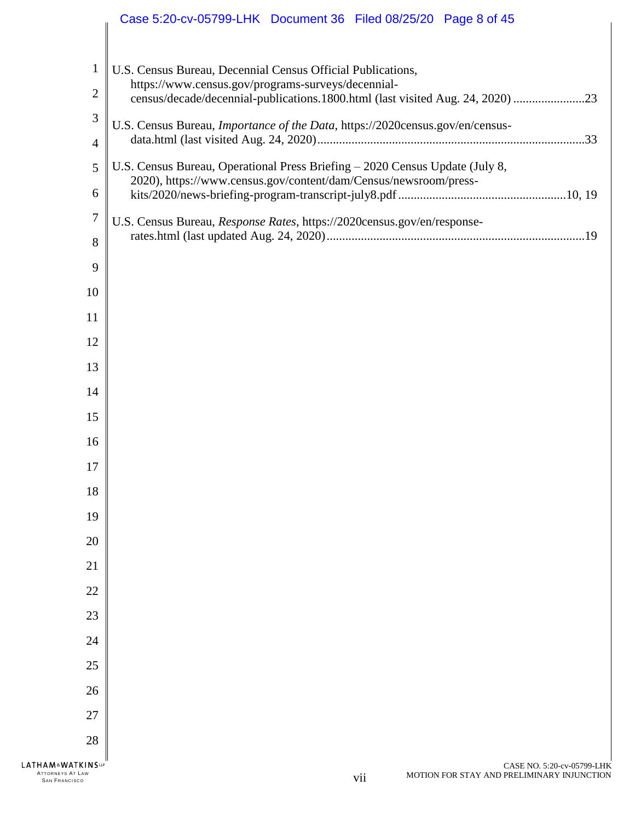|                                                                         | Case 5:20-cv-05799-LHK Document 36 Filed 08/25/20 Page 8 of 45                                                                       |
|-------------------------------------------------------------------------|--------------------------------------------------------------------------------------------------------------------------------------|
|                                                                         |                                                                                                                                      |
| $\mathbf{1}$                                                            | U.S. Census Bureau, Decennial Census Official Publications,                                                                          |
| $\mathbf{2}$                                                            | https://www.census.gov/programs-surveys/decennial-<br>census/decade/decennial-publications.1800.html (last visited Aug. 24, 2020) 23 |
| 3                                                                       | U.S. Census Bureau, Importance of the Data, https://2020census.gov/en/census-                                                        |
| 4                                                                       |                                                                                                                                      |
| 5                                                                       | U.S. Census Bureau, Operational Press Briefing - 2020 Census Update (July 8,                                                         |
| 6                                                                       | 2020), https://www.census.gov/content/dam/Census/newsroom/press-                                                                     |
| $\overline{7}$                                                          | U.S. Census Bureau, Response Rates, https://2020census.gov/en/response-                                                              |
| 8                                                                       |                                                                                                                                      |
| 9                                                                       |                                                                                                                                      |
| 10                                                                      |                                                                                                                                      |
| 11                                                                      |                                                                                                                                      |
| 12                                                                      |                                                                                                                                      |
| 13                                                                      |                                                                                                                                      |
| 14                                                                      |                                                                                                                                      |
| 15                                                                      |                                                                                                                                      |
| 16                                                                      |                                                                                                                                      |
| 17                                                                      |                                                                                                                                      |
| 18                                                                      |                                                                                                                                      |
| 19                                                                      |                                                                                                                                      |
| 20                                                                      |                                                                                                                                      |
| 21                                                                      |                                                                                                                                      |
| 22                                                                      |                                                                                                                                      |
| 23                                                                      |                                                                                                                                      |
| 24                                                                      |                                                                                                                                      |
| 25                                                                      |                                                                                                                                      |
| 26                                                                      |                                                                                                                                      |
| 27                                                                      |                                                                                                                                      |
| 28                                                                      |                                                                                                                                      |
| <b>LATHAM&amp;WATKINSLP</b><br>ATTORNEYS AT LAW<br><b>SAN FRANCISCO</b> | CASE NO. 5:20-cv-05799-LHK<br>MOTION FOR STAY AND PRELIMINARY INJUNCTION<br>vii                                                      |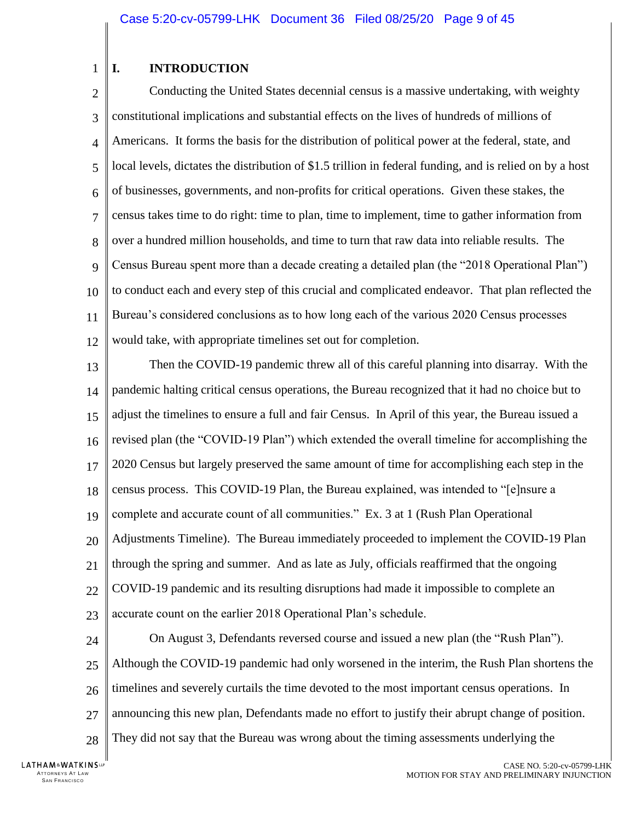#### <span id="page-8-0"></span>1 **I. INTRODUCTION**

 $\overline{\mathcal{L}}$ 3 4 5 6 7 8 9 10 11 12 Conducting the United States decennial census is a massive undertaking, with weighty constitutional implications and substantial effects on the lives of hundreds of millions of Americans. It forms the basis for the distribution of political power at the federal, state, and local levels, dictates the distribution of \$1.5 trillion in federal funding, and is relied on by a host of businesses, governments, and non-profits for critical operations. Given these stakes, the census takes time to do right: time to plan, time to implement, time to gather information from over a hundred million households, and time to turn that raw data into reliable results. The Census Bureau spent more than a decade creating a detailed plan (the "2018 Operational Plan") to conduct each and every step of this crucial and complicated endeavor. That plan reflected the Bureau's considered conclusions as to how long each of the various 2020 Census processes would take, with appropriate timelines set out for completion.

13 14 15 16 17 18 19 20 21 22 23 Then the COVID-19 pandemic threw all of this careful planning into disarray. With the pandemic halting critical census operations, the Bureau recognized that it had no choice but to adjust the timelines to ensure a full and fair Census. In April of this year, the Bureau issued a revised plan (the "COVID-19 Plan") which extended the overall timeline for accomplishing the 2020 Census but largely preserved the same amount of time for accomplishing each step in the census process. This COVID-19 Plan, the Bureau explained, was intended to "[e]nsure a complete and accurate count of all communities." Ex. 3 at 1 (Rush Plan Operational Adjustments Timeline). The Bureau immediately proceeded to implement the COVID-19 Plan through the spring and summer. And as late as July, officials reaffirmed that the ongoing COVID-19 pandemic and its resulting disruptions had made it impossible to complete an accurate count on the earlier 2018 Operational Plan's schedule.

24

25 26 27 28 On August 3, Defendants reversed course and issued a new plan (the "Rush Plan"). Although the COVID-19 pandemic had only worsened in the interim, the Rush Plan shortens the timelines and severely curtails the time devoted to the most important census operations. In announcing this new plan, Defendants made no effort to justify their abrupt change of position. They did not say that the Bureau was wrong about the timing assessments underlying the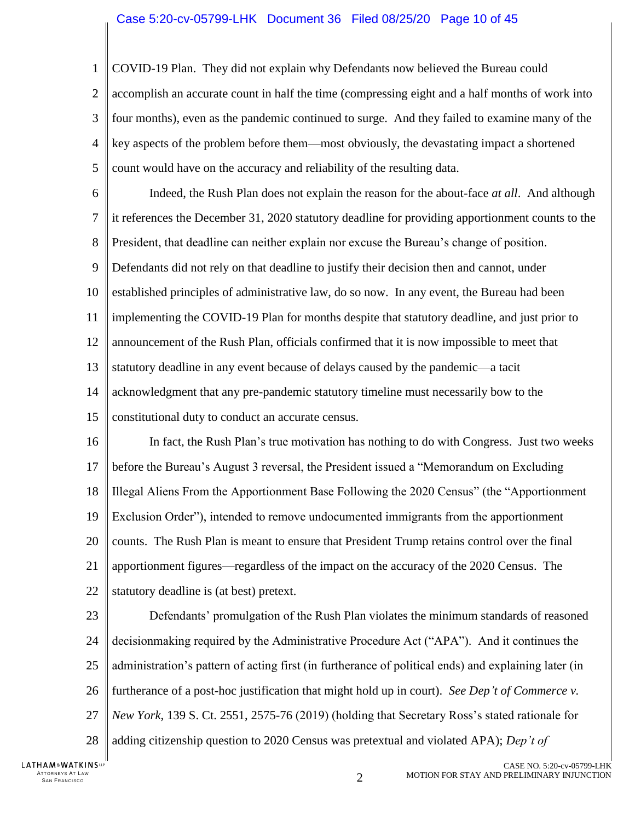1  $\mathcal{D}_{\mathcal{L}}$ 3 4 5 COVID-19 Plan. They did not explain why Defendants now believed the Bureau could accomplish an accurate count in half the time (compressing eight and a half months of work into four months), even as the pandemic continued to surge. And they failed to examine many of the key aspects of the problem before them—most obviously, the devastating impact a shortened count would have on the accuracy and reliability of the resulting data.

6 7 8 9 10 11 12 13 14 15 Indeed, the Rush Plan does not explain the reason for the about-face *at all*. And although it references the December 31, 2020 statutory deadline for providing apportionment counts to the President, that deadline can neither explain nor excuse the Bureau's change of position. Defendants did not rely on that deadline to justify their decision then and cannot, under established principles of administrative law, do so now. In any event, the Bureau had been implementing the COVID-19 Plan for months despite that statutory deadline, and just prior to announcement of the Rush Plan, officials confirmed that it is now impossible to meet that statutory deadline in any event because of delays caused by the pandemic—a tacit acknowledgment that any pre-pandemic statutory timeline must necessarily bow to the constitutional duty to conduct an accurate census.

16 17 18 19 20 21 22 In fact, the Rush Plan's true motivation has nothing to do with Congress. Just two weeks before the Bureau's August 3 reversal, the President issued a "Memorandum on Excluding Illegal Aliens From the Apportionment Base Following the 2020 Census" (the "Apportionment Exclusion Order"), intended to remove undocumented immigrants from the apportionment counts. The Rush Plan is meant to ensure that President Trump retains control over the final apportionment figures—regardless of the impact on the accuracy of the 2020 Census. The statutory deadline is (at best) pretext.

<span id="page-9-1"></span><span id="page-9-0"></span>23 24 25 26 27 28 Defendants' promulgation of the Rush Plan violates the minimum standards of reasoned decisionmaking required by the Administrative Procedure Act ("APA"). And it continues the administration's pattern of acting first (in furtherance of political ends) and explaining later (in furtherance of a post-hoc justification that might hold up in court). *See Dep't of Commerce v. New York*, 139 S. Ct. 2551, 2575-76 (2019) (holding that Secretary Ross's stated rationale for adding citizenship question to 2020 Census was pretextual and violated APA); *Dep't of* 

LATHAM&WATKINSLP ATTORNEYS AT LAW<br>SAN FRANCISCO TTORNEYS AT LAW  $\,$  same that the set of the set of the set of the set of the set of the set of the set of the set of the set of the set of the set of the set of the set of the set of the set of the set of the set of the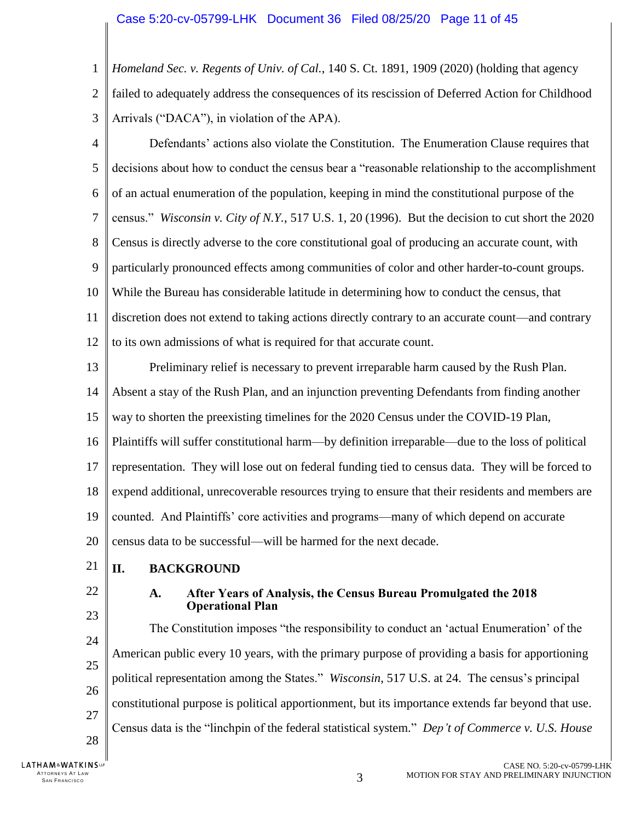1  $\overline{2}$ 3 *Homeland Sec. v. Regents of Univ. of Cal.*, 140 S. Ct. 1891, 1909 (2020) (holding that agency failed to adequately address the consequences of its rescission of Deferred Action for Childhood Arrivals ("DACA"), in violation of the APA).

- <span id="page-10-3"></span>4 5 6 7 8 9 10 11 12 Defendants' actions also violate the Constitution. The Enumeration Clause requires that decisions about how to conduct the census bear a "reasonable relationship to the accomplishment of an actual enumeration of the population, keeping in mind the constitutional purpose of the census." *Wisconsin v. City of N.Y.*, 517 U.S. 1, 20 (1996). But the decision to cut short the 2020 Census is directly adverse to the core constitutional goal of producing an accurate count, with particularly pronounced effects among communities of color and other harder-to-count groups. While the Bureau has considerable latitude in determining how to conduct the census, that discretion does not extend to taking actions directly contrary to an accurate count—and contrary to its own admissions of what is required for that accurate count.
- 13 14 15 16 17 18 19 20 Preliminary relief is necessary to prevent irreparable harm caused by the Rush Plan. Absent a stay of the Rush Plan, and an injunction preventing Defendants from finding another way to shorten the preexisting timelines for the 2020 Census under the COVID-19 Plan, Plaintiffs will suffer constitutional harm—by definition irreparable—due to the loss of political representation. They will lose out on federal funding tied to census data. They will be forced to expend additional, unrecoverable resources trying to ensure that their residents and members are counted. And Plaintiffs' core activities and programs—many of which depend on accurate census data to be successful—will be harmed for the next decade.
- <span id="page-10-0"></span>21 **II. BACKGROUND**
- <span id="page-10-1"></span>22

23

25

27

## <span id="page-10-2"></span>**A. After Years of Analysis, the Census Bureau Promulgated the 2018 Operational Plan**

24 26 28 The Constitution imposes "the responsibility to conduct an 'actual Enumeration' of the American public every 10 years, with the primary purpose of providing a basis for apportioning political representation among the States." *Wisconsin*, 517 U.S. at 24. The census's principal constitutional purpose is political apportionment, but its importance extends far beyond that use. Census data is the "linchpin of the federal statistical system." *Dep't of Commerce v. U.S. House* 

**LATHAM&WATKINSLP** ATTORNEYS AT LAW<br>SAN FRANCISCO TTORNEYS AT LAW  $\,$  3  $\,$  SAN FRANCISCO  $\,$  3  $\,$  SAN FRANCISCO  $\,$  3  $\,$  3  $\,$  3  $\,$  3  $\,$  3  $\,$  3  $\,$  3  $\,$  3  $\,$  5  $\,$  5  $\,$  5  $\,$  5  $\,$  5  $\,$  5  $\,$  5  $\,$  5  $\,$  5  $\,$  5  $\,$  5  $\,$  5  $\,$  5  $\,$  5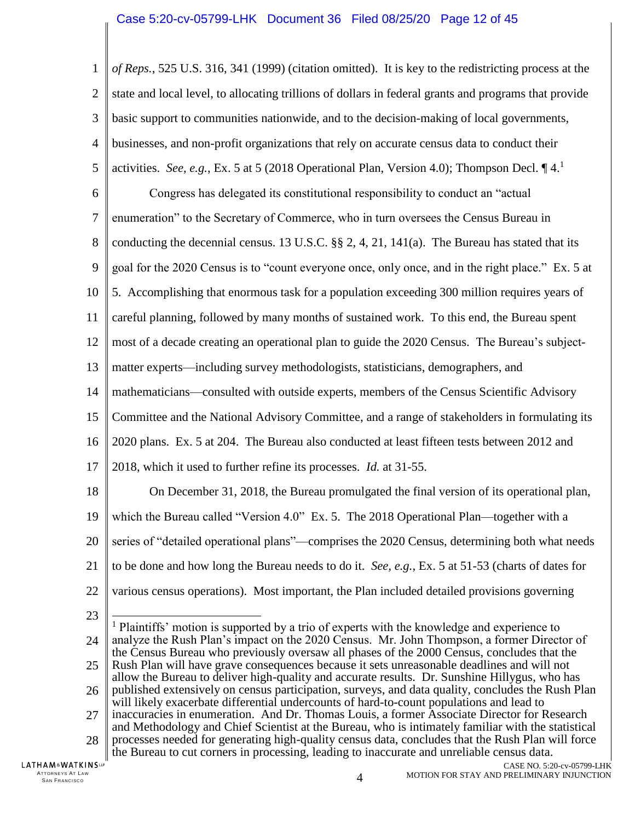<span id="page-11-0"></span>1  $\mathcal{D}_{\mathcal{L}}$ 3 4 5 6 7 8 9 10 11 12 13 14 15 16 17 18 19 20 21 22 23 24 25 26 27 28 *of Reps.*, 525 U.S. 316, 341 (1999) (citation omitted). It is key to the redistricting process at the state and local level, to allocating trillions of dollars in federal grants and programs that provide basic support to communities nationwide, and to the decision-making of local governments, businesses, and non-profit organizations that rely on accurate census data to conduct their activities. *See, e.g.*, Ex. 5 at 5 (2018 Operational Plan, Version 4.0); Thompson Decl. ¶ 4.<sup>1</sup> Congress has delegated its constitutional responsibility to conduct an "actual enumeration" to the Secretary of Commerce, who in turn oversees the Census Bureau in conducting the decennial census. 13 U.S.C.  $\S$ § 2, 4, 21, 141(a). The Bureau has stated that its goal for the 2020 Census is to "count everyone once, only once, and in the right place." Ex. 5 at 5. Accomplishing that enormous task for a population exceeding 300 million requires years of careful planning, followed by many months of sustained work. To this end, the Bureau spent most of a decade creating an operational plan to guide the 2020 Census. The Bureau's subjectmatter experts—including survey methodologists, statisticians, demographers, and mathematicians—consulted with outside experts, members of the Census Scientific Advisory Committee and the National Advisory Committee, and a range of stakeholders in formulating its 2020 plans. Ex. 5 at 204. The Bureau also conducted at least fifteen tests between 2012 and 2018, which it used to further refine its processes. *Id.* at 31-55. On December 31, 2018, the Bureau promulgated the final version of its operational plan, which the Bureau called "Version 4.0" Ex. 5. The 2018 Operational Plan—together with a series of "detailed operational plans"—comprises the 2020 Census, determining both what needs to be done and how long the Bureau needs to do it. *See, e.g.*, Ex. 5 at 51-53 (charts of dates for various census operations). Most important, the Plan included detailed provisions governing  $\overline{\phantom{a}}$ <sup>1</sup> Plaintiffs' motion is supported by a trio of experts with the knowledge and experience to analyze the Rush Plan's impact on the 2020 Census. Mr. John Thompson, a former Director of the Census Bureau who previously oversaw all phases of the 2000 Census, concludes that the Rush Plan will have grave consequences because it sets unreasonable deadlines and will not allow the Bureau to deliver high-quality and accurate results. Dr. Sunshine Hillygus, who has published extensively on census participation, surveys, and data quality, concludes the Rush Plan will likely exacerbate differential undercounts of hard-to-count populations and lead to inaccuracies in enumeration. And Dr. Thomas Louis, a former Associate Director for Research and Methodology and Chief Scientist at the Bureau, who is intimately familiar with the statistical processes needed for generating high-quality census data, concludes that the Rush Plan will force

**LATHAM&WATKINS** ATTORNEYS AT LAW<br>SAN FRANCISCO <sup>S</sup>AN FRA NCI SCO 4

the Bureau to cut corners in processing, leading to inaccurate and unreliable census data.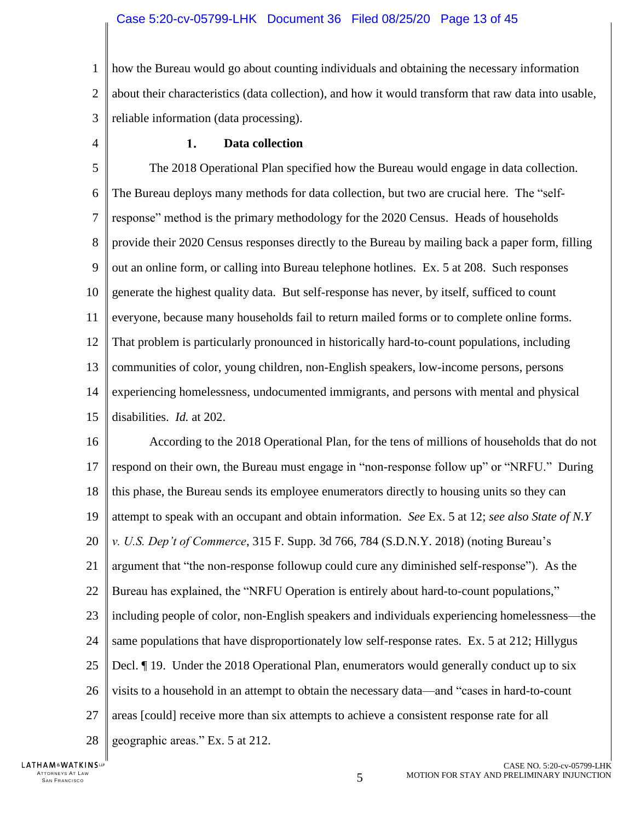1  $\overline{2}$ 3 how the Bureau would go about counting individuals and obtaining the necessary information about their characteristics (data collection), and how it would transform that raw data into usable, reliable information (data processing).

<span id="page-12-0"></span>4

#### $1.$ **Data collection**

5 6 7 8 9 10 11 12 13 14 15 The 2018 Operational Plan specified how the Bureau would engage in data collection. The Bureau deploys many methods for data collection, but two are crucial here. The "selfresponse" method is the primary methodology for the 2020 Census. Heads of households provide their 2020 Census responses directly to the Bureau by mailing back a paper form, filling out an online form, or calling into Bureau telephone hotlines. Ex. 5 at 208.Such responses generate the highest quality data. But self-response has never, by itself, sufficed to count everyone, because many households fail to return mailed forms or to complete online forms. That problem is particularly pronounced in historically hard-to-count populations, including communities of color, young children, non-English speakers, low-income persons, persons experiencing homelessness, undocumented immigrants, and persons with mental and physical disabilities. *Id.* at 202.

<span id="page-12-1"></span>16 17 18 19 20 21 22 23 24 25 26 27 28 According to the 2018 Operational Plan, for the tens of millions of households that do not respond on their own, the Bureau must engage in "non-response follow up" or "NRFU." During this phase, the Bureau sends its employee enumerators directly to housing units so they can attempt to speak with an occupant and obtain information. *See* Ex. 5 at 12; *see also State of N.Y v. U.S. Dep't of Commerce*, 315 F. Supp. 3d 766, 784 (S.D.N.Y. 2018) (noting Bureau's argument that "the non-response followup could cure any diminished self-response"). As the Bureau has explained, the "NRFU Operation is entirely about hard-to-count populations," including people of color, non-English speakers and individuals experiencing homelessness—the same populations that have disproportionately low self-response rates. Ex. 5 at 212; Hillygus Decl. ¶ 19. Under the 2018 Operational Plan, enumerators would generally conduct up to six visits to a household in an attempt to obtain the necessary data—and "cases in hard-to-count areas [could] receive more than six attempts to achieve a consistent response rate for all geographic areas." Ex. 5 at 212.

LATHAM&WATKINSLP ATTORNEYS AT LAW<br>SAN FRANCISCO TTORNEYS AT LAW  $5$ <br>San Francisco  $5$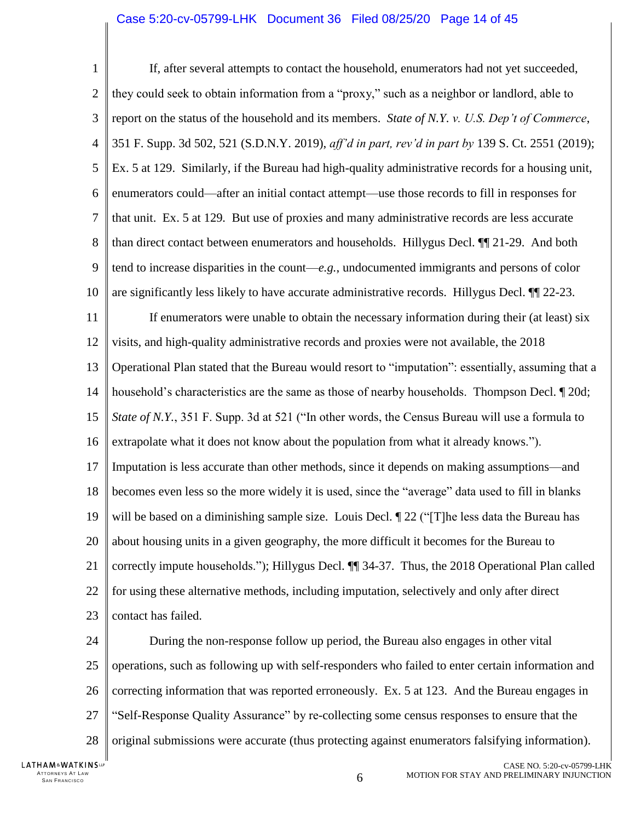<span id="page-13-0"></span>1  $\mathcal{D}_{\mathcal{L}}$ 3 4 5 6 7 8 9 10 11 12 13 14 15 16 17 18 19 20 21 22 23 If, after several attempts to contact the household, enumerators had not yet succeeded, they could seek to obtain information from a "proxy," such as a neighbor or landlord, able to report on the status of the household and its members. *State of N.Y. v. U.S. Dep't of Commerce*, 351 F. Supp. 3d 502, 521 (S.D.N.Y. 2019), *aff'd in part, rev'd in part by* 139 S. Ct. 2551 (2019); Ex. 5 at 129. Similarly, if the Bureau had high-quality administrative records for a housing unit, enumerators could—after an initial contact attempt—use those records to fill in responses for that unit. Ex. 5 at 129*.*But use of proxies and many administrative records are less accurate than direct contact between enumerators and households. Hillygus Decl. ¶¶ 21-29. And both tend to increase disparities in the count—*e.g.*, undocumented immigrants and persons of color are significantly less likely to have accurate administrative records. Hillygus Decl. ¶¶ 22-23. If enumerators were unable to obtain the necessary information during their (at least) six visits, and high-quality administrative records and proxies were not available, the 2018 Operational Plan stated that the Bureau would resort to "imputation": essentially, assuming that a household's characteristics are the same as those of nearby households. Thompson Decl. ¶ 20d; *State of N.Y.*, 351 F. Supp. 3d at 521 ("In other words, the Census Bureau will use a formula to extrapolate what it does not know about the population from what it already knows."). Imputation is less accurate than other methods, since it depends on making assumptions—and becomes even less so the more widely it is used, since the "average" data used to fill in blanks will be based on a diminishing sample size. Louis Decl.  $\parallel$  22 ("The less data the Bureau has about housing units in a given geography, the more difficult it becomes for the Bureau to correctly impute households."); Hillygus Decl. ¶¶ 34-37. Thus, the 2018 Operational Plan called for using these alternative methods, including imputation, selectively and only after direct contact has failed.

24 25 26 27 28 During the non-response follow up period, the Bureau also engages in other vital operations, such as following up with self-responders who failed to enter certain information and correcting information that was reported erroneously. Ex. 5 at 123. And the Bureau engages in "Self-Response Quality Assurance" by re-collecting some census responses to ensure that the original submissions were accurate (thus protecting against enumerators falsifying information).

LATHAM&WATKINSLP ATTORNEYS AT LAW<br>SAN FRANCISCO TTORNEYS AT LAW  $6\,$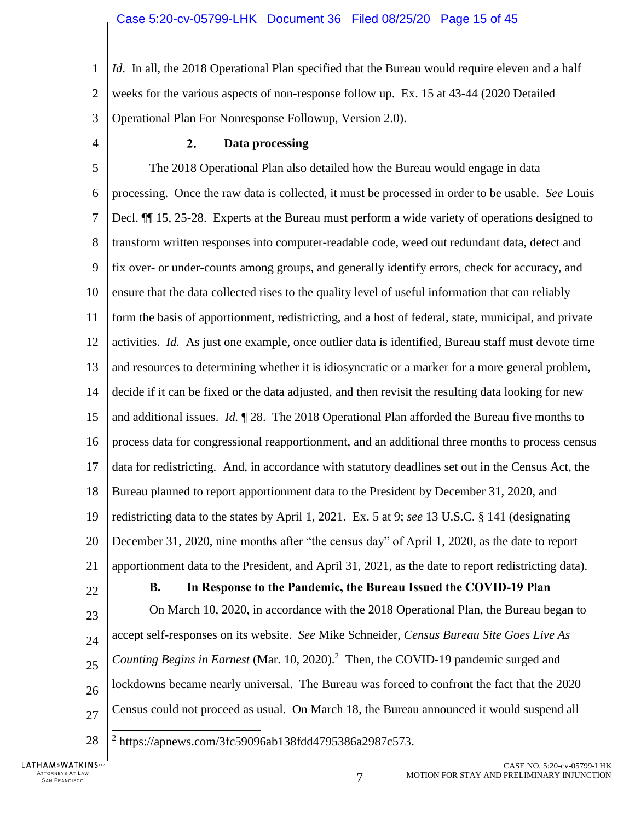1  $\overline{2}$ 3 *Id.* In all, the 2018 Operational Plan specified that the Bureau would require eleven and a half weeks for the various aspects of non-response follow up. Ex. 15 at 43-44 (2020 Detailed Operational Plan For Nonresponse Followup, Version 2.0).

<span id="page-14-0"></span>4

#### $2.$ **Data processing**

5 6 7 8 9 10 11 12 13 14 15 16 17 18 19 20 21 22 23 24 25 26 The 2018 Operational Plan also detailed how the Bureau would engage in data processing. Once the raw data is collected, it must be processed in order to be usable. *See* Louis Decl. ¶¶ 15, 25-28. Experts at the Bureau must perform a wide variety of operations designed to transform written responses into computer-readable code, weed out redundant data, detect and fix over- or under-counts among groups, and generally identify errors, check for accuracy, and ensure that the data collected rises to the quality level of useful information that can reliably form the basis of apportionment, redistricting, and a host of federal, state, municipal, and private activities. *Id.* As just one example, once outlier data is identified, Bureau staff must devote time and resources to determining whether it is idiosyncratic or a marker for a more general problem, decide if it can be fixed or the data adjusted, and then revisit the resulting data looking for new and additional issues. *Id.* ¶ 28. The 2018 Operational Plan afforded the Bureau five months to process data for congressional reapportionment, and an additional three months to process census data for redistricting. And, in accordance with statutory deadlines set out in the Census Act, the Bureau planned to report apportionment data to the President by December 31, 2020, and redistricting data to the states by April 1, 2021. Ex. 5 at 9; *see* 13 U.S.C. § 141 (designating December 31, 2020, nine months after "the census day" of April 1, 2020, as the date to report apportionment data to the President, and April 31, 2021, as the date to report redistricting data). **B. In Response to the Pandemic, the Bureau Issued the COVID-19 Plan** On March 10, 2020, in accordance with the 2018 Operational Plan, the Bureau began to accept self-responses on its website. *See* Mike Schneider, *Census Bureau Site Goes Live As Counting Begins in Earnest* (Mar. 10, 2020). <sup>2</sup> Then, the COVID-19 pandemic surged and lockdowns became nearly universal. The Bureau was forced to confront the fact that the 2020

28

27

<span id="page-14-3"></span>2 [https://apnews.com/3fc59096ab138fdd4795386a2987c573.](https://apnews.com/3fc59096ab138fdd4795386a2987c573)

<span id="page-14-2"></span><span id="page-14-1"></span>Census could not proceed as usual. On March 18, the Bureau announced it would suspend all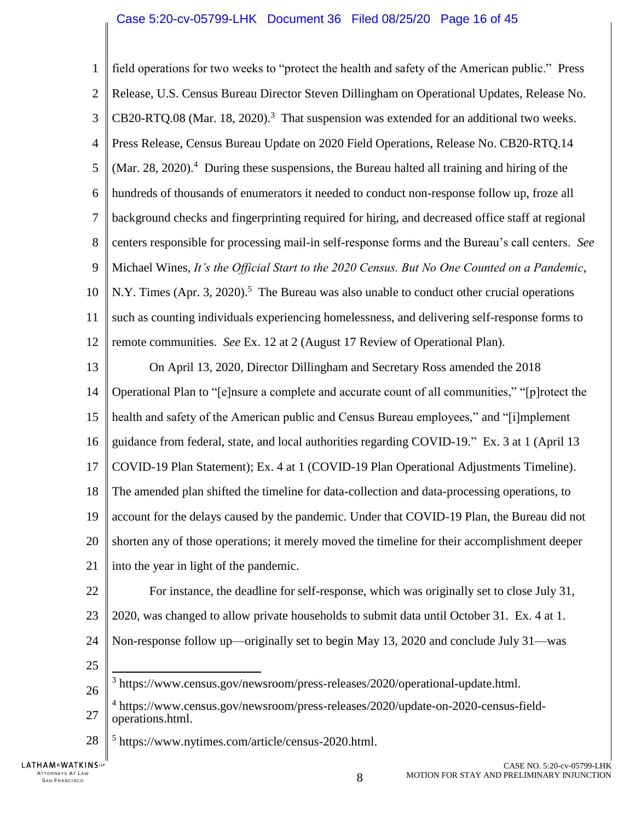| $\mathbf{1}$     | field operations for two weeks to "protect the health and safety of the American public." Press        |
|------------------|--------------------------------------------------------------------------------------------------------|
| $\overline{2}$   | Release, U.S. Census Bureau Director Steven Dillingham on Operational Updates, Release No.             |
| 3                | CB20-RTQ.08 (Mar. 18, 2020). <sup>3</sup> That suspension was extended for an additional two weeks.    |
| $\overline{4}$   | Press Release, Census Bureau Update on 2020 Field Operations, Release No. CB20-RTQ.14                  |
| 5                | (Mar. 28, 2020). $4$ During these suspensions, the Bureau halted all training and hiring of the        |
| 6                | hundreds of thousands of enumerators it needed to conduct non-response follow up, froze all            |
| $\boldsymbol{7}$ | background checks and fingerprinting required for hiring, and decreased office staff at regional       |
| 8                | centers responsible for processing mail-in self-response forms and the Bureau's call centers. See      |
| 9                | Michael Wines, It's the Official Start to the 2020 Census. But No One Counted on a Pandemic,           |
| 10               | N.Y. Times (Apr. 3, 2020). <sup>5</sup> The Bureau was also unable to conduct other crucial operations |
| 11               | such as counting individuals experiencing homelessness, and delivering self-response forms to          |
| 12               | remote communities. See Ex. 12 at 2 (August 17 Review of Operational Plan).                            |
| 13               | On April 13, 2020, Director Dillingham and Secretary Ross amended the 2018                             |
| 14               | Operational Plan to "[e]nsure a complete and accurate count of all communities," "[p]rotect the        |
| 15               | health and safety of the American public and Census Bureau employees," and "[i]mplement                |
| 16               | guidance from federal, state, and local authorities regarding COVID-19." Ex. 3 at 1 (April 13)         |
| 17               | COVID-19 Plan Statement); Ex. 4 at 1 (COVID-19 Plan Operational Adjustments Timeline).                 |
| 18               | The amended plan shifted the timeline for data-collection and data-processing operations, to           |
| 19               | account for the delays caused by the pandemic. Under that COVID-19 Plan, the Bureau did not            |
| 20               | shorten any of those operations; it merely moved the timeline for their accomplishment deeper          |
| 21               | into the year in light of the pandemic.                                                                |
| 22               | For instance, the deadline for self-response, which was originally set to close July 31,               |
| 23               | 2020, was changed to allow private households to submit data until October 31. Ex. 4 at 1.             |
| 24               | Non-response follow up—originally set to begin May 13, 2020 and conclude July 31—was                   |
| 25               |                                                                                                        |
| 26               | <sup>3</sup> https://www.census.gov/newsroom/press-releases/2020/operational-update.html.              |
| 27               | https://www.census.gov/newsroom/press-releases/2020/update-on-2020-census-field-<br>operations.html.   |

<span id="page-15-2"></span><span id="page-15-1"></span>28 || <sup>5</sup> https://www.nytimes.com/article/census-2020.html.

<span id="page-15-0"></span> $\parallel$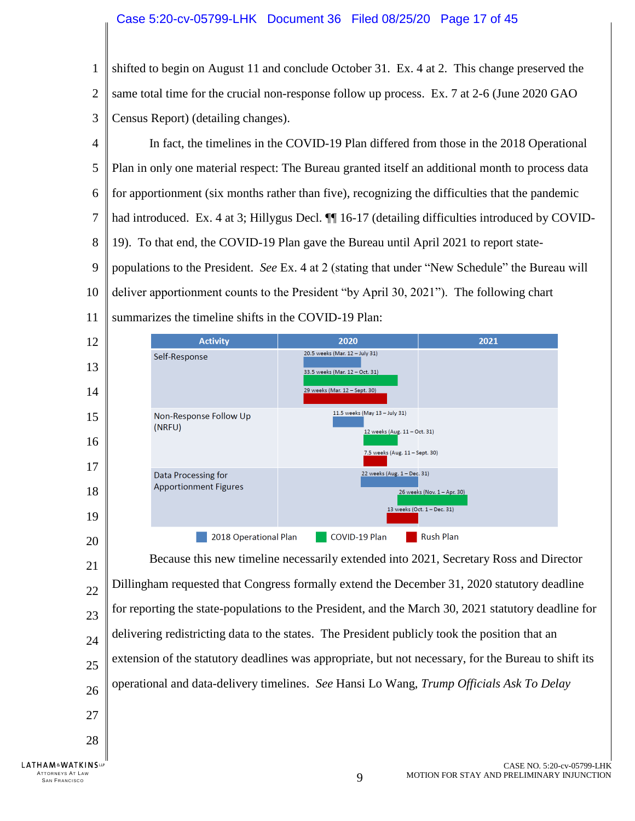1  $\overline{2}$ 3 shifted to begin on August 11 and conclude October 31. Ex. 4 at 2. This change preserved the same total time for the crucial non-response follow up process. Ex. 7 at 2-6 (June 2020 GAO Census Report) (detailing changes).

4 5 6 7 8 9 10 11 In fact, the timelines in the COVID-19 Plan differed from those in the 2018 Operational Plan in only one material respect: The Bureau granted itself an additional month to process data for apportionment (six months rather than five), recognizing the difficulties that the pandemic had introduced. Ex. 4 at 3; Hillygus Decl.  $\P\P$  16-17 (detailing difficulties introduced by COVID-19).To that end, the COVID-19 Plan gave the Bureau until April 2021 to report statepopulations to the President. *See* Ex. 4 at 2 (stating that under "New Schedule" the Bureau will deliver apportionment counts to the President "by April 30, 2021"). The following chart summarizes the timeline shifts in the COVID-19 Plan:



<span id="page-16-0"></span>21 22 23 24 25 26 27 28 Because this new timeline necessarily extended into 2021, Secretary Ross and Director Dillingham requested that Congress formally extend the December 31, 2020 statutory deadline for reporting the state-populations to the President, and the March 30, 2021 statutory deadline for delivering redistricting data to the states. The President publicly took the position that an extension of the statutory deadlines was appropriate, but not necessary, for the Bureau to shift its operational and data-delivery timelines. *See* Hansi Lo Wang, *Trump Officials Ask To Delay* 

TTORNEYS AT LAW  $9$ 

ATTORNEYS AT LAW<br>SAN FRANCISCO

**LATHAM**<sup>&</sup>WATKINSLP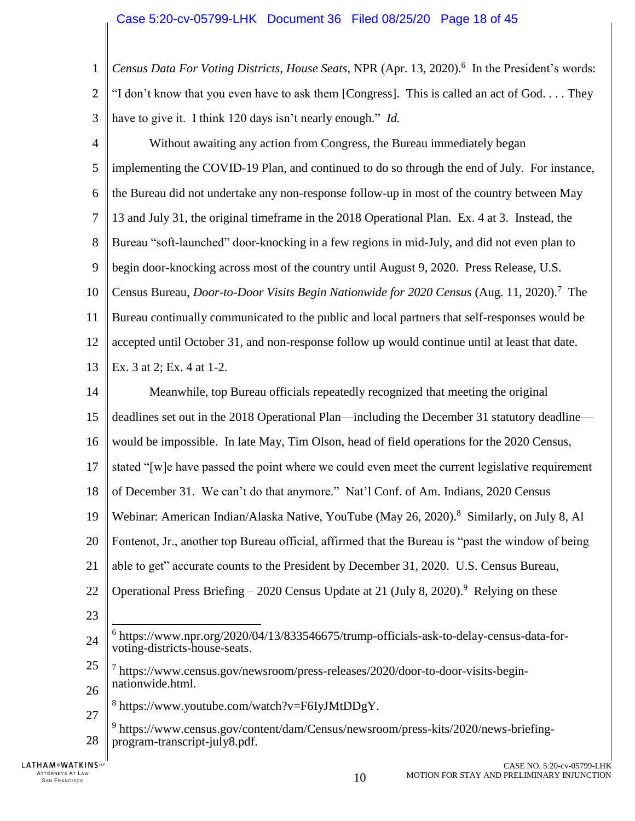1  $\overline{2}$ 3 *Census Data For Voting Districts, House Seats*, NPR (Apr. 13, 2020). 6 In the President's words: "I don't know that you even have to ask them [Congress]. This is called an act of God. . . . They have to give it. I think 120 days isn't nearly enough." *Id.*

4 5 6 7 8 9 10 11 12 13 14 15 16 17 Without awaiting any action from Congress, the Bureau immediately began implementing the COVID-19 Plan, and continued to do so through the end of July. For instance, the Bureau did not undertake any non-response follow-up in most of the country between May 13 and July 31, the original timeframe in the 2018 Operational Plan. Ex. 4 at 3. Instead, the Bureau "soft-launched" door-knocking in a few regions in mid-July, and did not even plan to begin door-knocking across most of the country until August 9, 2020. Press Release, U.S. Census Bureau, *Door-to-Door Visits Begin Nationwide for 2020 Census* (Aug. 11, 2020). <sup>7</sup> The Bureau continually communicated to the public and local partners that self-responses would be accepted until October 31, and non-response follow up would continue until at least that date. Ex. 3 at 2; Ex. 4 at 1-2. Meanwhile, top Bureau officials repeatedly recognized that meeting the original deadlines set out in the 2018 Operational Plan—including the December 31 statutory deadline would be impossible. In late May, Tim Olson, head of field operations for the 2020 Census, stated "[w]e have passed the point where we could even meet the current legislative requirement

18 of December 31. We can't do that anymore." Nat'l Conf. of Am. Indians, 2020 Census

19 Webinar: American Indian/Alaska Native, YouTube (May 26, 2020).<sup>8</sup> Similarly, on July 8, Al

20 Fontenot, Jr., another top Bureau official, affirmed that the Bureau is "past the window of being

- 21 able to get" accurate counts to the President by December 31, 2020. U.S. Census Bureau,
- 22 Operational Press Briefing – 2020 Census Update at 21 (July 8, 2020).<sup>9</sup> Relying on these
- 23
- 24  $\overline{a}$ 6 [https://www.npr.org/2020/04/13/833546675/trump-officials-ask-to-delay-census-data-for](https://www.npr.org/2020/04/13/833546675/trump-officials-ask-to-delay-census-data-for-voting-districts-house-seats)[voting-districts-house-seats.](https://www.npr.org/2020/04/13/833546675/trump-officials-ask-to-delay-census-data-for-voting-districts-house-seats)
- <span id="page-17-0"></span>25 26 7 https://www.census.gov/newsroom/press-releases/2020/door-to-door-visits-beginnationwide.html.
- 27 8 https://www.youtube.com/watch?v=F6IyJMtDDgY.
- <span id="page-17-1"></span>28 <sup>9</sup> https://www.census.gov/content/dam/Census/newsroom/press-kits/2020/news-briefingprogram-transcript-july8.pdf.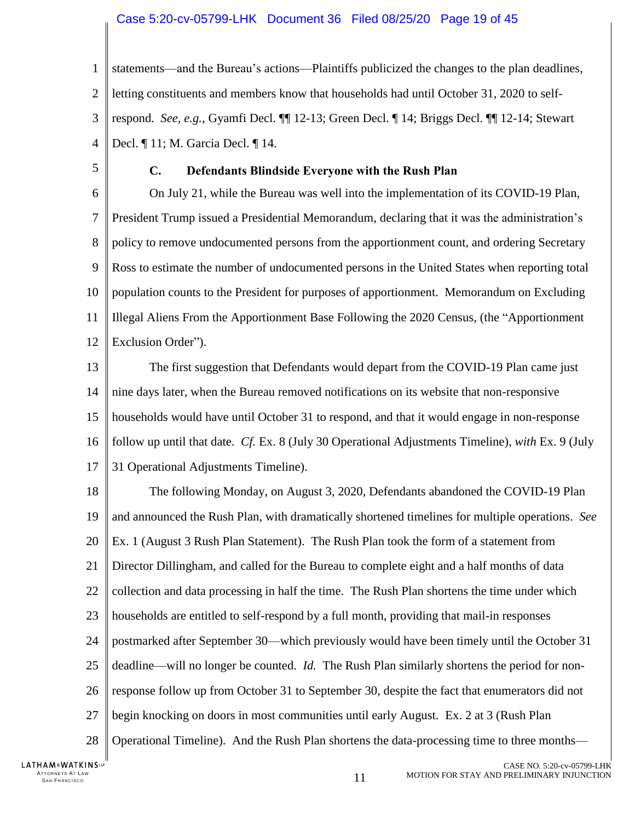### Case 5:20-cv-05799-LHK Document 36 Filed 08/25/20 Page 19 of 45

1  $\mathcal{D}_{\mathcal{L}}$ 3 4 statements—and the Bureau's actions—Plaintiffs publicized the changes to the plan deadlines, letting constituents and members know that households had until October 31, 2020 to selfrespond. *See, e.g.*, Gyamfi Decl. ¶¶ 12-13; Green Decl. ¶ 14; Briggs Decl. ¶¶ 12-14; Stewart Decl. ¶ 11; M. Garcia Decl. ¶ 14.

<span id="page-18-0"></span>5

### **C. Defendants Blindside Everyone with the Rush Plan**

6 7 8 9 10 11 12 On July 21, while the Bureau was well into the implementation of its COVID-19 Plan, President Trump issued a Presidential Memorandum, declaring that it was the administration's policy to remove undocumented persons from the apportionment count, and ordering Secretary Ross to estimate the number of undocumented persons in the United States when reporting total population counts to the President for purposes of apportionment. Memorandum on Excluding Illegal Aliens From the Apportionment Base Following the 2020 Census, (the "Apportionment Exclusion Order").

13 14 15 16 17 The first suggestion that Defendants would depart from the COVID-19 Plan came just nine days later, when the Bureau removed notifications on its website that non-responsive households would have until October 31 to respond, and that it would engage in non-response follow up until that date. *Cf.* Ex. 8 (July 30 Operational Adjustments Timeline), *with* Ex. 9 (July 31 Operational Adjustments Timeline).

18 19 20 21 22 23 24 25 26 27 28 The following Monday, on August 3, 2020, Defendants abandoned the COVID-19 Plan and announced the Rush Plan, with dramatically shortened timelines for multiple operations. *See*  Ex. 1 (August 3 Rush Plan Statement). The Rush Plan took the form of a statement from Director Dillingham, and called for the Bureau to complete eight and a half months of data collection and data processing in half the time. The Rush Plan shortens the time under which households are entitled to self-respond by a full month, providing that mail-in responses postmarked after September 30—which previously would have been timely until the October 31 deadline—will no longer be counted. *Id.* The Rush Plan similarly shortens the period for nonresponse follow up from October 31 to September 30, despite the fact that enumerators did not begin knocking on doors in most communities until early August. Ex. 2 at 3 (Rush Plan Operational Timeline). And the Rush Plan shortens the data-processing time to three months—

LATHAM&WATKINSLP ATTORNEYS AT LAW<br>SAN FRANCISCO TTORNEYS AT LAW  $11$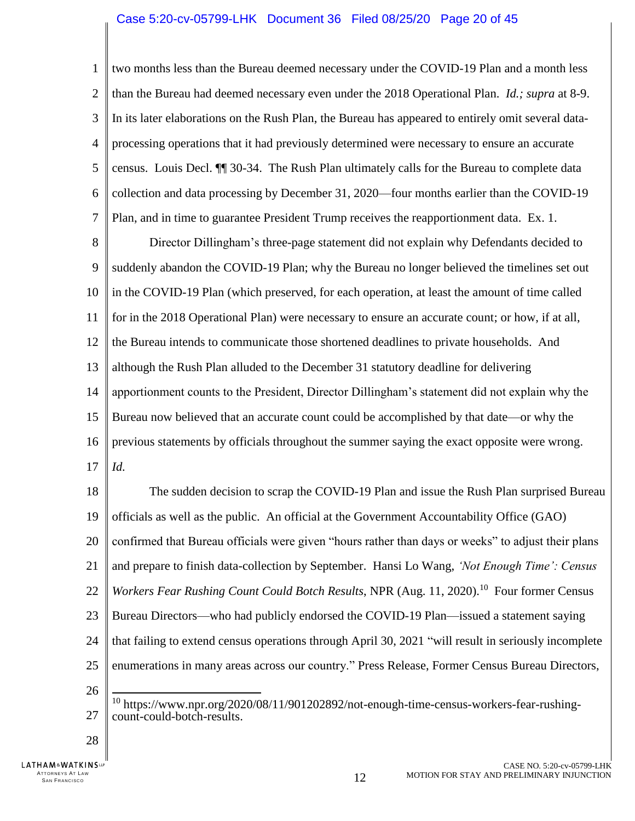### Case 5:20-cv-05799-LHK Document 36 Filed 08/25/20 Page 20 of 45

1  $\overline{2}$ 3 4 5 6 7 two months less than the Bureau deemed necessary under the COVID-19 Plan and a month less than the Bureau had deemed necessary even under the 2018 Operational Plan. *Id.; supra* at 8-9. In its later elaborations on the Rush Plan, the Bureau has appeared to entirely omit several dataprocessing operations that it had previously determined were necessary to ensure an accurate census. Louis Decl. ¶¶ 30-34. The Rush Plan ultimately calls for the Bureau to complete data collection and data processing by December 31, 2020—four months earlier than the COVID-19 Plan, and in time to guarantee President Trump receives the reapportionment data. Ex. 1.

8 9 10 11 12 13 14 15 16 17 Director Dillingham's three-page statement did not explain why Defendants decided to suddenly abandon the COVID-19 Plan; why the Bureau no longer believed the timelines set out in the COVID-19 Plan (which preserved, for each operation, at least the amount of time called for in the 2018 Operational Plan) were necessary to ensure an accurate count; or how, if at all, the Bureau intends to communicate those shortened deadlines to private households. And although the Rush Plan alluded to the December 31 statutory deadline for delivering apportionment counts to the President, Director Dillingham's statement did not explain why the Bureau now believed that an accurate count could be accomplished by that date—or why the previous statements by officials throughout the summer saying the exact opposite were wrong. *Id.* 

<span id="page-19-0"></span>18 19 20 21 22 23 24 25 26 The sudden decision to scrap the COVID-19 Plan and issue the Rush Plan surprised Bureau officials as well as the public. An official at the Government Accountability Office (GAO) confirmed that Bureau officials were given "hours rather than days or weeks" to adjust their plans and prepare to finish data-collection by September. Hansi Lo Wang, *'Not Enough Time': Census*  Workers Fear Rushing Count Could Botch Results, NPR (Aug. 11, 2020).<sup>10</sup> Four former Census Bureau Directors—who had publicly endorsed the COVID-19 Plan—issued a statement saying that failing to extend census operations through April 30, 2021 "will result in seriously incomplete enumerations in many areas across our country." Press Release, Former Census Bureau Directors,  $\overline{\phantom{a}}$ <sup>10</sup> https://www.npr.org/2020/08/11/901202892/not-enough-time-census-workers-fear-rushing-

27 count-could-botch-results.

28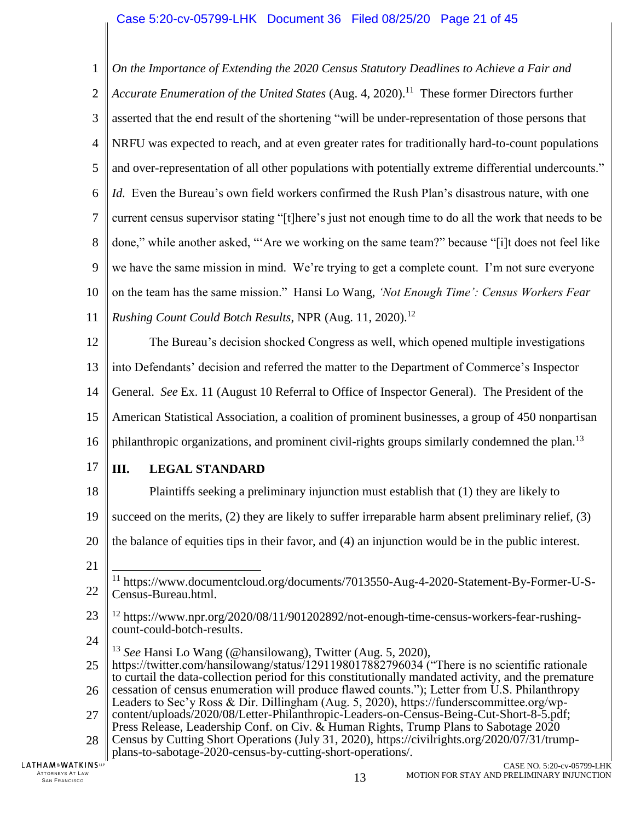1  $\overline{2}$ 3 4 5 6 7 8 9 10 11 *On the Importance of Extending the 2020 Census Statutory Deadlines to Achieve a Fair and Accurate Enumeration of the United States* (Aug. 4, 2020). 11 These former Directors further asserted that the end result of the shortening "will be under-representation of those persons that NRFU was expected to reach, and at even greater rates for traditionally hard-to-count populations and over-representation of all other populations with potentially extreme differential undercounts." *Id.* Even the Bureau's own field workers confirmed the Rush Plan's disastrous nature, with one current census supervisor stating "[t]here's just not enough time to do all the work that needs to be done," while another asked, "'Are we working on the same team?" because "[i]t does not feel like we have the same mission in mind. We're trying to get a complete count. I'm not sure everyone on the team has the same mission." Hansi Lo Wang, *'Not Enough Time': Census Workers Fear Rushing Count Could Botch Results*, NPR (Aug. 11, 2020). 12

12 13 14 15 16 The Bureau's decision shocked Congress as well, which opened multiple investigations into Defendants' decision and referred the matter to the Department of Commerce's Inspector General. *See* Ex. 11 (August 10 Referral to Office of Inspector General). The President of the American Statistical Association, a coalition of prominent businesses, a group of 450 nonpartisan philanthropic organizations, and prominent civil-rights groups similarly condemned the plan.<sup>13</sup>

17

# <span id="page-20-0"></span>**III. LEGAL STANDARD**

- 18 Plaintiffs seeking a preliminary injunction must establish that (1) they are likely to
- 19 succeed on the merits, (2) they are likely to suffer irreparable harm absent preliminary relief, (3)
- 20 the balance of equities tips in their favor, and (4) an injunction would be in the public interest.
- 21

- 23 <sup>12</sup> https://www.npr.org/2020/08/11/901202892/not-enough-time-census-workers-fear-rushingcount-could-botch-results.
- 24

<span id="page-20-2"></span><span id="page-20-1"></span><sup>13</sup> *See* Hansi Lo Wang (@hansilowang), Twitter (Aug. 5, 2020),

- 25 26 https://twitter.com/hansilowang/status/1291198017882796034 ("There is no scientific rationale to curtail the data-collection period for this constitutionally mandated activity, and the premature cessation of census enumeration will produce flawed counts."); Letter from U.S. Philanthropy
- 27 Leaders to Sec'y Ross & Dir. Dillingham (Aug. 5, 2020), https://funderscommittee.org/wpcontent/uploads/2020/08/Letter-Philanthropic-Leaders-on-Census-Being-Cut-Short-8-5.pdf;

<span id="page-20-4"></span>28 Press Release, Leadership Conf. on Civ. & Human Rights, Trump Plans to Sabotage 2020 Census by Cutting Short Operations (July 31, 2020), https://civilrights.org/2020/07/31/trump-

plans-to-sabotage-2020-census-by-cutting-short-operations/.

<span id="page-20-3"></span><sup>22</sup>  $\overline{\phantom{a}}$ <sup>11</sup> https://www.documentcloud.org/documents/7013550-Aug-4-2020-Statement-By-Former-U-S-Census-Bureau.html.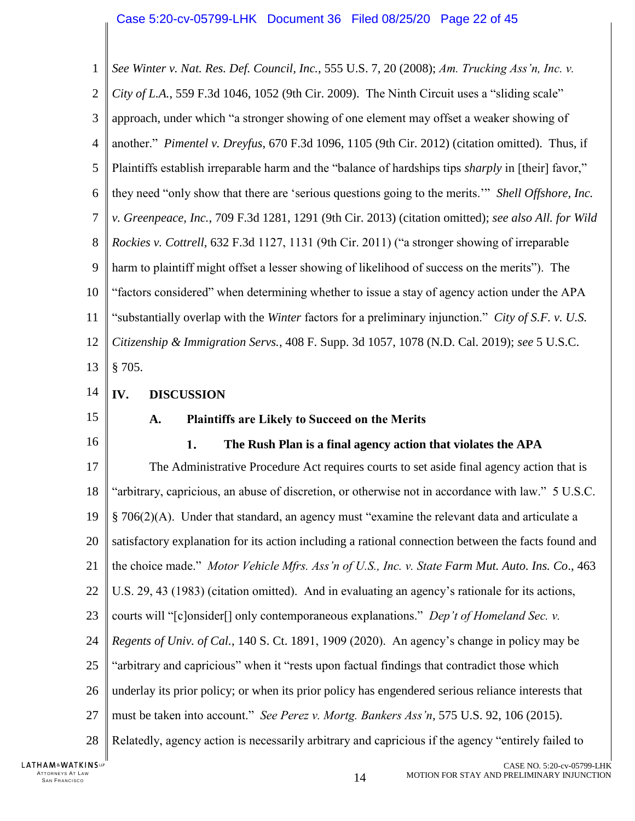<span id="page-21-9"></span><span id="page-21-8"></span><span id="page-21-4"></span><span id="page-21-3"></span>1  $\overline{2}$ 3 4 5 6 7 8 9 10 11 12 13 14 15 *See Winter v. Nat. Res. Def. Council, Inc.*, 555 U.S. 7, 20 (2008); *Am. Trucking Ass'n, Inc. v. City of L.A.*, 559 F.3d 1046, 1052 (9th Cir. 2009). The Ninth Circuit uses a "sliding scale" approach, under which "a stronger showing of one element may offset a weaker showing of another." *Pimentel v. Dreyfus*, 670 F.3d 1096, 1105 (9th Cir. 2012) (citation omitted). Thus, if Plaintiffs establish irreparable harm and the "balance of hardships tips *sharply* in [their] favor," they need "only show that there are 'serious questions going to the merits.'" *Shell Offshore, Inc. v. Greenpeace, Inc.*, 709 F.3d 1281, 1291 (9th Cir. 2013) (citation omitted); *see also All. for Wild Rockies v. Cottrell,* 632 F.3d 1127, 1131 (9th Cir. 2011) ("a stronger showing of irreparable harm to plaintiff might offset a lesser showing of likelihood of success on the merits"). The "factors considered" when determining whether to issue a stay of agency action under the APA "substantially overlap with the *Winter* factors for a preliminary injunction." *City of S.F. v. U.S. Citizenship & Immigration Servs.*, 408 F. Supp. 3d 1057, 1078 (N.D. Cal. 2019); *see* 5 U.S.C. § 705. **IV. DISCUSSION A. Plaintiffs are Likely to Succeed on the Merits**

<span id="page-21-11"></span><span id="page-21-10"></span><span id="page-21-5"></span><span id="page-21-2"></span><span id="page-21-1"></span><span id="page-21-0"></span>

<span id="page-21-6"></span>16 1. **The Rush Plan is a final agency action that violates the APA** 17 The Administrative Procedure Act requires courts to set aside final agency action that is 18 "arbitrary, capricious, an abuse of discretion, or otherwise not in accordance with law." 5 U.S.C. 19  $\S 706(2)$ (A). Under that standard, an agency must "examine the relevant data and articulate a 20 satisfactory explanation for its action including a rational connection between the facts found and 21 the choice made." *Motor Vehicle Mfrs. Ass'n of U.S., Inc. v. State Farm Mut. Auto. Ins. Co*., 463 22 U.S. 29, 43 (1983) (citation omitted). And in evaluating an agency's rationale for its actions, 23 courts will "[c]onsider[] only contemporaneous explanations." *Dep't of Homeland Sec. v.*  24 *Regents of Univ. of Cal.*, 140 S. Ct. 1891, 1909 (2020). An agency's change in policy may be 25 "arbitrary and capricious" when it "rests upon factual findings that contradict those which 26 underlay its prior policy; or when its prior policy has engendered serious reliance interests that 27 must be taken into account." *See Perez v. Mortg. Bankers Ass'n*, 575 U.S. 92, 106 (2015). Relatedly, agency action is necessarily arbitrary and capricious if the agency "entirely failed to 28

<span id="page-21-7"></span>LATHAM&WATKINSLP ATTORNEYS AT LAW<br>SAN FRANCISCO TTORNEYS AT LAW  $14$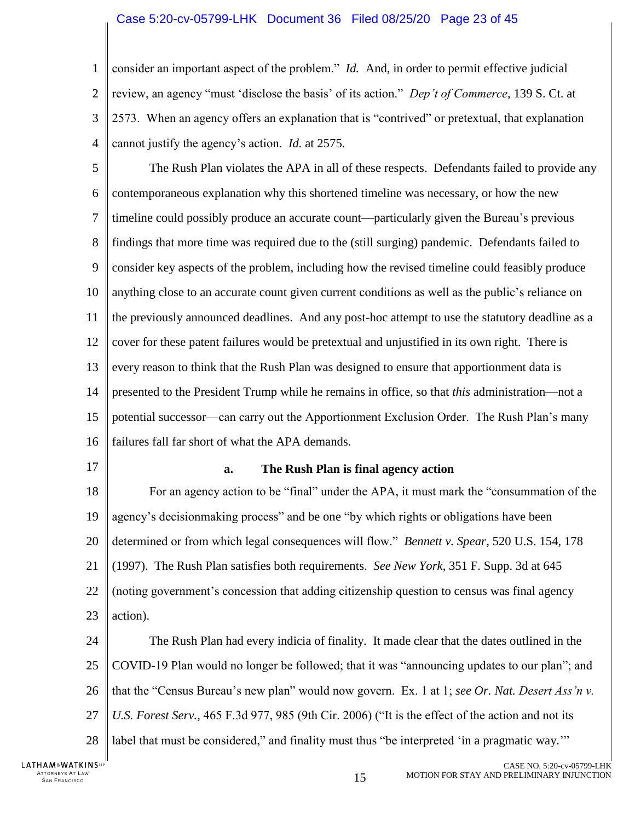### Case 5:20-cv-05799-LHK Document 36 Filed 08/25/20 Page 23 of 45

1  $\mathcal{D}_{\mathcal{L}}$ 3 4 consider an important aspect of the problem." *Id.* And, in order to permit effective judicial review, an agency "must 'disclose the basis' of its action." *Dep't of Commerce*, 139 S. Ct. at 2573. When an agency offers an explanation that is "contrived" or pretextual, that explanation cannot justify the agency's action. *Id.* at 2575.

5 6 7 8 9 10 11 12 13 14 15 16 The Rush Plan violates the APA in all of these respects. Defendants failed to provide any contemporaneous explanation why this shortened timeline was necessary, or how the new timeline could possibly produce an accurate count—particularly given the Bureau's previous findings that more time was required due to the (still surging) pandemic. Defendants failed to consider key aspects of the problem, including how the revised timeline could feasibly produce anything close to an accurate count given current conditions as well as the public's reliance on the previously announced deadlines. And any post-hoc attempt to use the statutory deadline as a cover for these patent failures would be pretextual and unjustified in its own right. There is every reason to think that the Rush Plan was designed to ensure that apportionment data is presented to the President Trump while he remains in office, so that *this* administration—not a potential successor—can carry out the Apportionment Exclusion Order. The Rush Plan's many failures fall far short of what the APA demands.

<span id="page-22-0"></span>17

### <span id="page-22-1"></span>**a. The Rush Plan is final agency action**

18 19 20 21 22 23 For an agency action to be "final" under the APA, it must mark the "consummation of the agency's decisionmaking process" and be one "by which rights or obligations have been determined or from which legal consequences will flow." *Bennett v. Spear*, 520 U.S. 154, 178 (1997). The Rush Plan satisfies both requirements. *See New York*, 351 F. Supp. 3d at 645 (noting government's concession that adding citizenship question to census was final agency action).

24 25 26 27 28 The Rush Plan had every indicia of finality. It made clear that the dates outlined in the COVID-19 Plan would no longer be followed; that it was "announcing updates to our plan"; and that the "Census Bureau's new plan" would now govern. Ex. 1 at 1; *see Or. Nat. Desert Ass'n v. U.S. Forest Serv.*, 465 F.3d 977, 985 (9th Cir. 2006) ("It is the effect of the action and not its label that must be considered," and finality must thus "be interpreted 'in a pragmatic way.""

LATHAM&WATKINSLP ATTORNEYS AT LAW<br>SAN FRANCISCO TTORNEYS AT LAW  $15$  and the set of the set of the set of the set of the set of the set of the set of the set of the set of the set of the set of the set of the set of the set of the set of the set of the set of the set o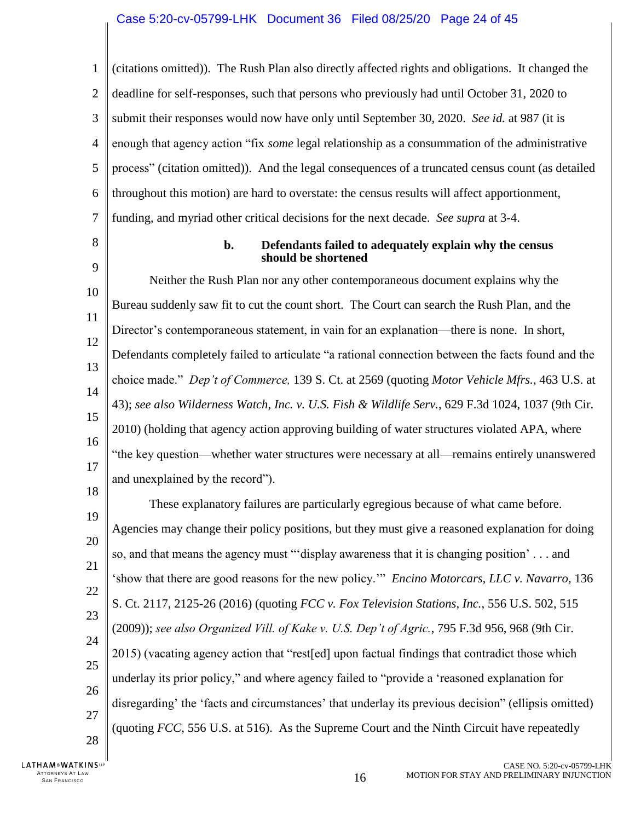1  $\overline{2}$ 3 4 5 6 7 (citations omitted)). The Rush Plan also directly affected rights and obligations. It changed the deadline for self-responses, such that persons who previously had until October 31, 2020 to submit their responses would now have only until September 30, 2020. *See id.* at 987 (it is enough that agency action "fix *some* legal relationship as a consummation of the administrative process" (citation omitted)). And the legal consequences of a truncated census count (as detailed throughout this motion) are hard to overstate: the census results will affect apportionment, funding, and myriad other critical decisions for the next decade. *See supra* at 3-4.

<span id="page-23-0"></span>8

9

### **b. Defendants failed to adequately explain why the census should be shortened**

10 11 12 13 14 15 16 17 18 Neither the Rush Plan nor any other contemporaneous document explains why the Bureau suddenly saw fit to cut the count short. The Court can search the Rush Plan, and the Director's contemporaneous statement, in vain for an explanation—there is none. In short, Defendants completely failed to articulate "a rational connection between the facts found and the choice made." *Dep't of Commerce,* 139 S. Ct. at 2569 (quoting *Motor Vehicle Mfrs.*, 463 U.S. at 43); *see also Wilderness Watch, Inc. v. U.S. Fish & Wildlife Serv.*, 629 F.3d 1024, 1037 (9th Cir. 2010) (holding that agency action approving building of water structures violated APA, where "the key question—whether water structures were necessary at all—remains entirely unanswered and unexplained by the record").

<span id="page-23-3"></span><span id="page-23-2"></span><span id="page-23-1"></span>19 20 21 22 23 24 25 26 27 These explanatory failures are particularly egregious because of what came before. Agencies may change their policy positions, but they must give a reasoned explanation for doing so, and that means the agency must "'display awareness that it is changing position' . . . and 'show that there are good reasons for the new policy.'" *Encino Motorcars, LLC v. Navarro*, 136 S. Ct. 2117, 2125-26 (2016) (quoting *FCC v. Fox Television Stations, Inc.*, 556 U.S. 502, 515 (2009)); *see also Organized Vill. of Kake v. U.S. Dep't of Agric.*, 795 F.3d 956, 968 (9th Cir. 2015) (vacating agency action that "rest[ed] upon factual findings that contradict those which underlay its prior policy," and where agency failed to "provide a 'reasoned explanation for disregarding' the 'facts and circumstances' that underlay its previous decision" (ellipsis omitted) (quoting *FCC*, 556 U.S. at 516). As the Supreme Court and the Ninth Circuit have repeatedly

28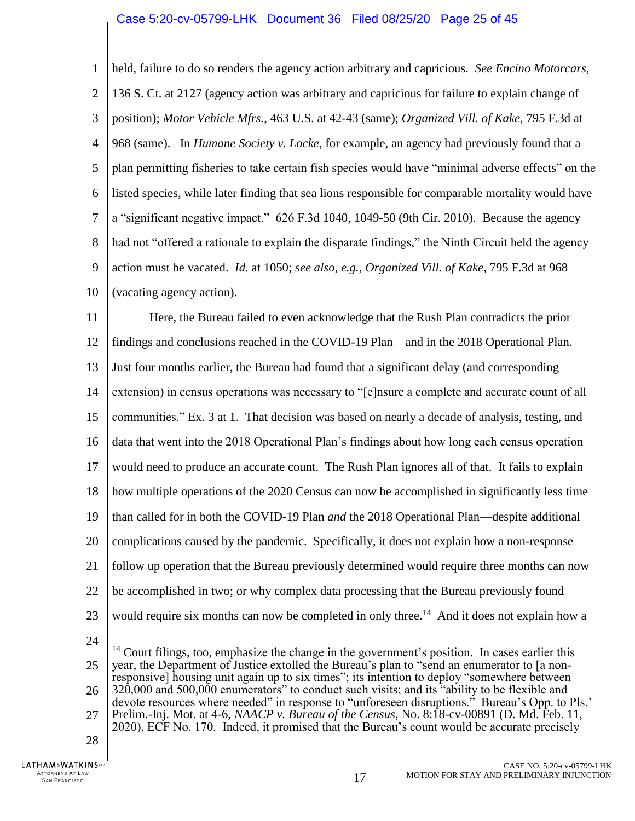### Case 5:20-cv-05799-LHK Document 36 Filed 08/25/20 Page 25 of 45

<span id="page-24-1"></span><span id="page-24-0"></span>1  $\overline{2}$ 3 4 5 6 7 8 9 10 held, failure to do so renders the agency action arbitrary and capricious. *See Encino Motorcars*, 136 S. Ct. at 2127 (agency action was arbitrary and capricious for failure to explain change of position); *Motor Vehicle Mfrs.*, 463 U.S. at 42-43 (same); *Organized Vill. of Kake*, 795 F.3d at 968 (same). In *Humane Society v. Locke*, for example, an agency had previously found that a plan permitting fisheries to take certain fish species would have "minimal adverse effects" on the listed species, while later finding that sea lions responsible for comparable mortality would have a "significant negative impact." 626 F.3d 1040, 1049-50 (9th Cir. 2010). Because the agency had not "offered a rationale to explain the disparate findings," the Ninth Circuit held the agency action must be vacated. *Id.* at 1050; *see also, e.g.*, *Organized Vill. of Kake*, 795 F.3d at 968 (vacating agency action).

11 12 13 14 15 16 17 18 19 20 21 22 23 Here, the Bureau failed to even acknowledge that the Rush Plan contradicts the prior findings and conclusions reached in the COVID-19 Plan—and in the 2018 Operational Plan. Just four months earlier, the Bureau had found that a significant delay (and corresponding extension) in census operations was necessary to "[e]nsure a complete and accurate count of all communities." Ex. 3 at 1.That decision was based on nearly a decade of analysis, testing, and data that went into the 2018 Operational Plan's findings about how long each census operation would need to produce an accurate count. The Rush Plan ignores all of that. It fails to explain how multiple operations of the 2020 Census can now be accomplished in significantly less time than called for in both the COVID-19 Plan *and* the 2018 Operational Plan—despite additional complications caused by the pandemic. Specifically, it does not explain how a non-response follow up operation that the Bureau previously determined would require three months can now be accomplished in two; or why complex data processing that the Bureau previously found would require six months can now be completed in only three.<sup>14</sup> And it does not explain how a

24

LATHAM&WATKINSLP ATTORNEYS AT LAW<br>SAN FRANCISCO TTORNEYS AT LAW  $17$  and the state of the state of the state of the state of the state of the state of the state of the state of the state of the state of the state of the state of the state of the state of the state of t

<sup>25</sup> 26 27 28  $\overline{\phantom{a}}$  $14$  Court filings, too, emphasize the change in the government's position. In cases earlier this year, the Department of Justice extolled the Bureau's plan to "send an enumerator to [a nonresponsive] housing unit again up to six times"; its intention to deploy "somewhere between 320,000 and 500,000 enumerators" to conduct such visits; and its "ability to be flexible and devote resources where needed" in response to "unforeseen disruptions." Bureau's Opp. to Pls.' Prelim.-Inj. Mot. at 4-6, *NAACP v. Bureau of the Census*, No. 8:18-cv-00891 (D. Md. Feb. 11, 2020), ECF No. 170. Indeed, it promised that the Bureau's count would be accurate precisely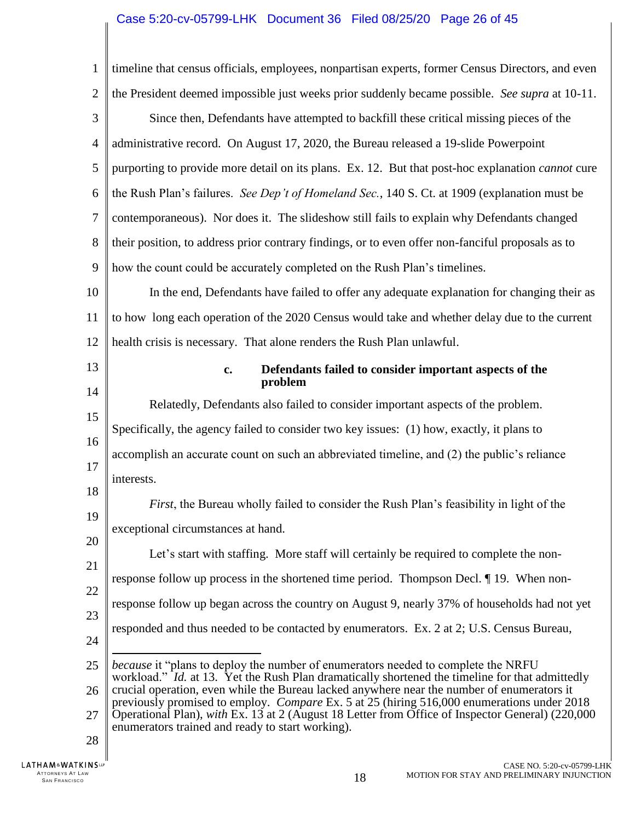# Case 5:20-cv-05799-LHK Document 36 Filed 08/25/20 Page 26 of 45

<span id="page-25-0"></span>

| $\mathbf{1}$   | timeline that census officials, employees, nonpartisan experts, former Census Directors, and even                                                                                                                                                   |
|----------------|-----------------------------------------------------------------------------------------------------------------------------------------------------------------------------------------------------------------------------------------------------|
| $\overline{2}$ | the President deemed impossible just weeks prior suddenly became possible. See supra at 10-11.                                                                                                                                                      |
| 3              | Since then, Defendants have attempted to backfill these critical missing pieces of the                                                                                                                                                              |
| $\overline{4}$ | administrative record. On August 17, 2020, the Bureau released a 19-slide Powerpoint                                                                                                                                                                |
| 5              | purporting to provide more detail on its plans. Ex. 12. But that post-hoc explanation <i>cannot</i> cure                                                                                                                                            |
| 6              | the Rush Plan's failures. See Dep't of Homeland Sec., 140 S. Ct. at 1909 (explanation must be                                                                                                                                                       |
| 7              | contemporaneous). Nor does it. The slideshow still fails to explain why Defendants changed                                                                                                                                                          |
| 8              | their position, to address prior contrary findings, or to even offer non-fanciful proposals as to                                                                                                                                                   |
| 9              | how the count could be accurately completed on the Rush Plan's timelines.                                                                                                                                                                           |
| 10             | In the end, Defendants have failed to offer any adequate explanation for changing their as                                                                                                                                                          |
| 11             | to how long each operation of the 2020 Census would take and whether delay due to the current                                                                                                                                                       |
| 12             | health crisis is necessary. That alone renders the Rush Plan unlawful.                                                                                                                                                                              |
| 13             | Defendants failed to consider important aspects of the<br>c.<br>problem                                                                                                                                                                             |
| 14             | Relatedly, Defendants also failed to consider important aspects of the problem.                                                                                                                                                                     |
| 15             | Specifically, the agency failed to consider two key issues: (1) how, exactly, it plans to                                                                                                                                                           |
| 16             | accomplish an accurate count on such an abbreviated timeline, and (2) the public's reliance                                                                                                                                                         |
| 17             | interests.                                                                                                                                                                                                                                          |
| 18             | First, the Bureau wholly failed to consider the Rush Plan's feasibility in light of the                                                                                                                                                             |
| 19             | exceptional circumstances at hand.                                                                                                                                                                                                                  |
| 20             | Let's start with staffing. More staff will certainly be required to complete the non-                                                                                                                                                               |
| 21             | response follow up process in the shortened time period. Thompson Decl. ¶ 19. When non-                                                                                                                                                             |
| 22             | response follow up began across the country on August 9, nearly 37% of households had not yet                                                                                                                                                       |
| 23             | responded and thus needed to be contacted by enumerators. Ex. 2 at 2; U.S. Census Bureau,                                                                                                                                                           |
| 24             | <i>because</i> it "plans to deploy the number of enumerators needed to complete the NRFU                                                                                                                                                            |
| 25             | workload." Id. at 13. Yet the Rush Plan dramatically shortened the timeline for that admittedly<br>crucial operation, even while the Bureau lacked anywhere near the number of enumerators it                                                       |
| 26<br>27       | previously promised to employ. Compare Ex. 5 at 25 (hiring 516,000 enumerations under 2018)<br>Operational Plan), with Ex. 13 at 2 (August 18 Letter from Office of Inspector General) (220,000<br>enumerators trained and ready to start working). |
| 28             |                                                                                                                                                                                                                                                     |
| <b>INSUP</b>   | CASE NO. 5:20-cv-05799-LF                                                                                                                                                                                                                           |

 $\parallel$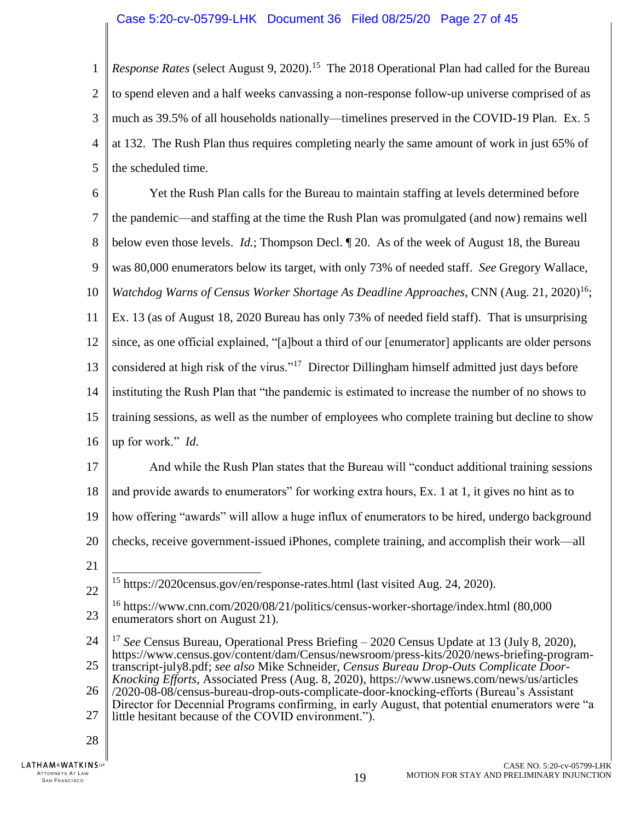1  $\overline{2}$ 3 4 5 Response Rates (select August 9, 2020).<sup>15</sup> The 2018 Operational Plan had called for the Bureau to spend eleven and a half weeks canvassing a non-response follow-up universe comprised of as much as 39.5% of all households nationally—timelines preserved in the COVID-19 Plan. Ex. 5 at 132. The Rush Plan thus requires completing nearly the same amount of work in just 65% of the scheduled time.

<span id="page-26-1"></span>6 7 8 9 10 11 12 13 14 15 16 Yet the Rush Plan calls for the Bureau to maintain staffing at levels determined before the pandemic—and staffing at the time the Rush Plan was promulgated (and now) remains well below even those levels. *Id.*; Thompson Decl. ¶ 20.As of the week of August 18, the Bureau was 80,000 enumerators below its target, with only 73% of needed staff. *See* Gregory Wallace, *Watchdog Warns of Census Worker Shortage As Deadline Approaches, CNN (Aug. 21, 2020)*<sup>16</sup>; Ex. 13 (as of August 18, 2020 Bureau has only 73% of needed field staff). That is unsurprising since, as one official explained, "[a]bout a third of our [enumerator] applicants are older persons considered at high risk of the virus."<sup>17</sup> Director Dillingham himself admitted just days before instituting the Rush Plan that "the pandemic is estimated to increase the number of no shows to training sessions, as well as the number of employees who complete training but decline to show up for work." *Id.*

17 18 19 20 And while the Rush Plan states that the Bureau will "conduct additional training sessions and provide awards to enumerators" for working extra hours, Ex. 1 at 1, it gives no hint as to how offering "awards" will allow a huge influx of enumerators to be hired, undergo background checks, receive government-issued iPhones, complete training, and accomplish their work—all

21

22

<span id="page-26-2"></span> $\overline{\phantom{a}}$ <sup>15</sup> https://2020census.gov/en/response-rates.html (last visited Aug. 24, 2020).

28

<sup>23</sup> <sup>16</sup> https://www.cnn.com/2020/08/21/politics/census-worker-shortage/index.html (80,000 enumerators short on August 21).

<sup>24</sup> <sup>17</sup> *See* Census Bureau, Operational Press Briefing – 2020 Census Update at 13 (July 8, 2020), [https://www.census.gov/content/dam/Census/newsroom/press-kits/2020/news-briefing-program-](https://www.census.gov/content/dam/Census/newsroom/press-kits/2020/news-briefing-program-transcript-july8.pdf)

<span id="page-26-0"></span><sup>25</sup> [transcript-july8.pdf;](https://www.census.gov/content/dam/Census/newsroom/press-kits/2020/news-briefing-program-transcript-july8.pdf) *see also* Mike Schneider, *Census Bureau Drop-Outs Complicate Door-Knocking Efforts*, Associated Press (Aug. 8, 2020), https://www.usnews.com/news/us/articles

<sup>26</sup> 27 /2020-08-08/census-bureau-drop-outs-complicate-door-knocking-efforts (Bureau's Assistant Director for Decennial Programs confirming, in early August, that potential enumerators were "a little hesitant because of the COVID environment.").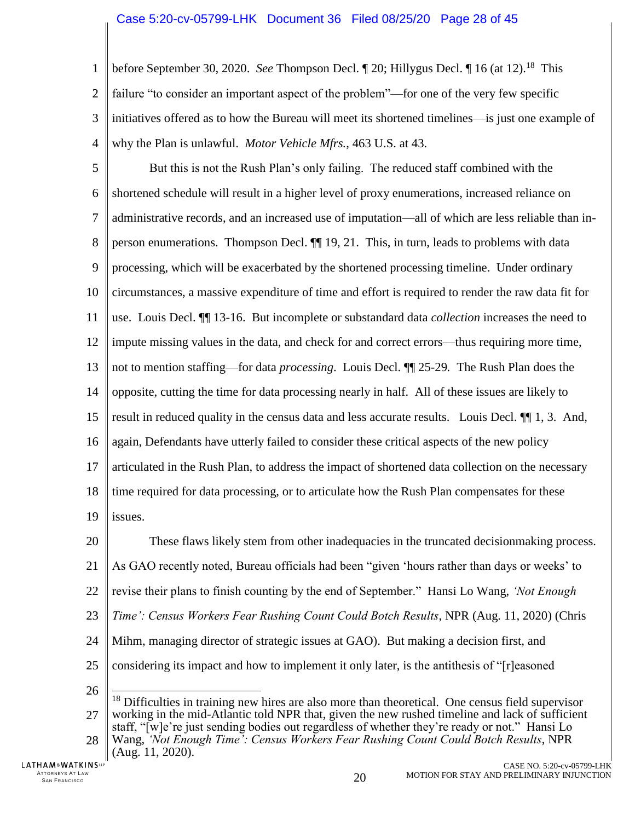1  $\overline{2}$ 3 4 before September 30, 2020. *See* Thompson Decl. [20; Hillygus Decl. [16 (at 12).<sup>18</sup> This failure "to consider an important aspect of the problem"—for one of the very few specific initiatives offered as to how the Bureau will meet its shortened timelines—is just one example of why the Plan is unlawful. *Motor Vehicle Mfrs.*, 463 U.S. at 43.

<span id="page-27-0"></span>5 6 7 8 9 10 11 12 13 14 15 16 17 18 19 But this is not the Rush Plan's only failing. The reduced staff combined with the shortened schedule will result in a higher level of proxy enumerations, increased reliance on administrative records, and an increased use of imputation—all of which are less reliable than inperson enumerations. Thompson Decl. ¶¶ 19, 21. This, in turn, leads to problems with data processing, which will be exacerbated by the shortened processing timeline. Under ordinary circumstances, a massive expenditure of time and effort is required to render the raw data fit for use. Louis Decl. ¶¶ 13-16. But incomplete or substandard data *collection* increases the need to impute missing values in the data, and check for and correct errors—thus requiring more time, not to mention staffing—for data *processing*. Louis Decl. ¶¶ 25-29*.* The Rush Plan does the opposite, cutting the time for data processing nearly in half. All of these issues are likely to result in reduced quality in the census data and less accurate results. Louis Decl. ¶¶ 1, 3. And, again, Defendants have utterly failed to consider these critical aspects of the new policy articulated in the Rush Plan, to address the impact of shortened data collection on the necessary time required for data processing, or to articulate how the Rush Plan compensates for these issues.

20 21 22 23 24 25 26 These flaws likely stem from other inadequacies in the truncated decisionmaking process. As GAO recently noted, Bureau officials had been "given 'hours rather than days or weeks' to revise their plans to finish counting by the end of September." Hansi Lo Wang, *'Not Enough Time': Census Workers Fear Rushing Count Could Botch Results*, NPR (Aug. 11, 2020) (Chris Mihm, managing director of strategic issues at GAO). But making a decision first, and considering its impact and how to implement it only later, is the antithesis of "[r]easoned  $\overline{\phantom{a}}$  $<sup>18</sup>$  Difficulties in training new hires are also more than theoretical. One census field supervisor</sup>

27 working in the mid-Atlantic told NPR that, given the new rushed timeline and lack of sufficient staff, "[w]e're just sending bodies out regardless of whether they're ready or not." Hansi Lo

28 Wang, *'Not Enough Time': Census Workers Fear Rushing Count Could Botch Results*, NPR (Aug. 11, 2020).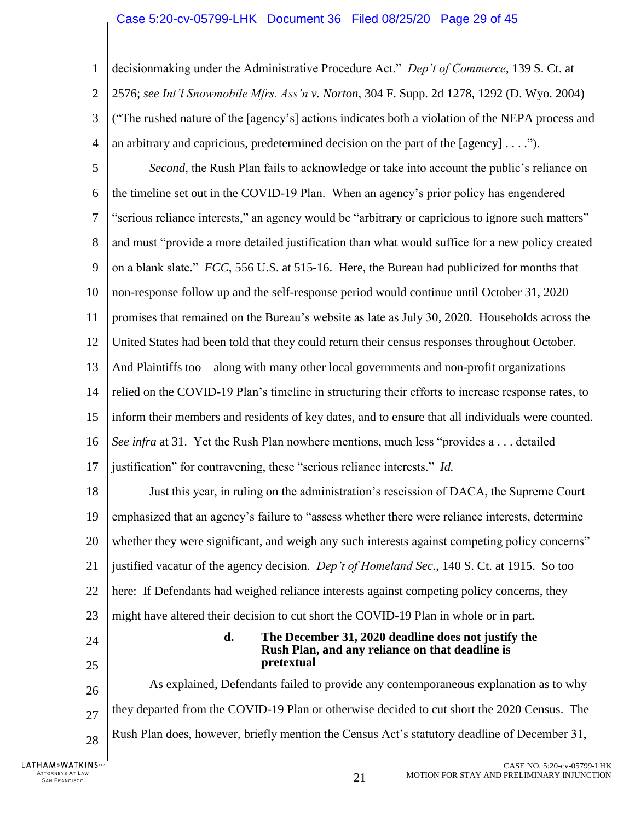### Case 5:20-cv-05799-LHK Document 36 Filed 08/25/20 Page 29 of 45

<span id="page-28-2"></span>1  $\overline{2}$ 3 4 decisionmaking under the Administrative Procedure Act." *Dep't of Commerce*, 139 S. Ct. at 2576; *see Int'l Snowmobile Mfrs. Ass'n v. Norton*, 304 F. Supp. 2d 1278, 1292 (D. Wyo. 2004) ("The rushed nature of the [agency's] actions indicates both a violation of the NEPA process and an arbitrary and capricious, predetermined decision on the part of the [agency]  $\dots$ .").

<span id="page-28-1"></span><span id="page-28-0"></span>5 6 7 8 9 10 11 12 13 14 15 16 17 18 19 20 21 22 23 24 25 26 27 28 *Second*, the Rush Plan fails to acknowledge or take into account the public's reliance on the timeline set out in the COVID-19 Plan. When an agency's prior policy has engendered "serious reliance interests," an agency would be "arbitrary or capricious to ignore such matters" and must "provide a more detailed justification than what would suffice for a new policy created on a blank slate." *FCC*, 556 U.S. at 515-16. Here, the Bureau had publicized for months that non-response follow up and the self-response period would continue until October 31, 2020 promises that remained on the Bureau's website as late as July 30, 2020. Households across the United States had been told that they could return their census responses throughout October. And Plaintiffs too—along with many other local governments and non-profit organizations relied on the COVID-19 Plan's timeline in structuring their efforts to increase response rates, to inform their members and residents of key dates, and to ensure that all individuals were counted. *See infra* at 31. Yet the Rush Plan nowhere mentions, much less "provides a . . . detailed justification" for contravening, these "serious reliance interests." *Id.*  Just this year, in ruling on the administration's rescission of DACA, the Supreme Court emphasized that an agency's failure to "assess whether there were reliance interests, determine whether they were significant, and weigh any such interests against competing policy concerns" justified vacatur of the agency decision. *Dep't of Homeland Sec.*, 140 S. Ct. at 1915. So too here: If Defendants had weighed reliance interests against competing policy concerns, they might have altered their decision to cut short the COVID-19 Plan in whole or in part. **d. The December 31, 2020 deadline does not justify the Rush Plan, and any reliance on that deadline is pretextual** As explained, Defendants failed to provide any contemporaneous explanation as to why they departed from the COVID-19 Plan or otherwise decided to cut short the 2020 Census. The Rush Plan does, however, briefly mention the Census Act's statutory deadline of December 31,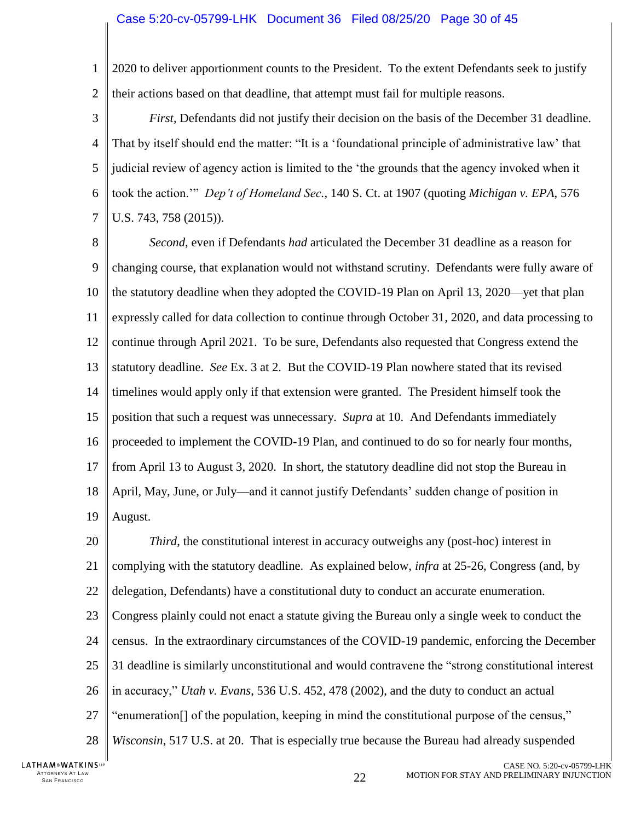1  $\overline{2}$ 2020 to deliver apportionment counts to the President. To the extent Defendants seek to justify their actions based on that deadline, that attempt must fail for multiple reasons.

3 4 5 6 7 *First*, Defendants did not justify their decision on the basis of the December 31 deadline. That by itself should end the matter: "It is a 'foundational principle of administrative law' that judicial review of agency action is limited to the 'the grounds that the agency invoked when it took the action.'" *Dep't of Homeland Sec.*, 140 S. Ct. at 1907 (quoting *Michigan v. EPA*, 576 U.S. 743, 758 (2015)).

8 9 10 11 12 13 14 15 16 17 18 19 *Second*, even if Defendants *had* articulated the December 31 deadline as a reason for changing course, that explanation would not withstand scrutiny. Defendants were fully aware of the statutory deadline when they adopted the COVID-19 Plan on April 13, 2020—yet that plan expressly called for data collection to continue through October 31, 2020, and data processing to continue through April 2021. To be sure, Defendants also requested that Congress extend the statutory deadline. *See* Ex. 3 at 2. But the COVID-19 Plan nowhere stated that its revised timelines would apply only if that extension were granted. The President himself took the position that such a request was unnecessary. *Supra* at 10. And Defendants immediately proceeded to implement the COVID-19 Plan, and continued to do so for nearly four months, from April 13 to August 3, 2020. In short, the statutory deadline did not stop the Bureau in April, May, June, or July—and it cannot justify Defendants' sudden change of position in August.

<span id="page-29-0"></span>20 21 22 23 24 25 26 27 28 *Third*, the constitutional interest in accuracy outweighs any (post-hoc) interest in complying with the statutory deadline. As explained below, *infra* at 25-26, Congress (and, by delegation, Defendants) have a constitutional duty to conduct an accurate enumeration. Congress plainly could not enact a statute giving the Bureau only a single week to conduct the census. In the extraordinary circumstances of the COVID-19 pandemic, enforcing the December 31 deadline is similarly unconstitutional and would contravene the "strong constitutional interest in accuracy," *Utah v. Evans*, 536 U.S. 452, 478 (2002), and the duty to conduct an actual "enumeration[] of the population, keeping in mind the constitutional purpose of the census," *Wisconsin*, 517 U.S. at 20. That is especially true because the Bureau had already suspended

LATHAM&WATKINSLP ATTORNEYS AT LAW<br>SAN FRANCISCO TTORNEYS AT LAW  $22$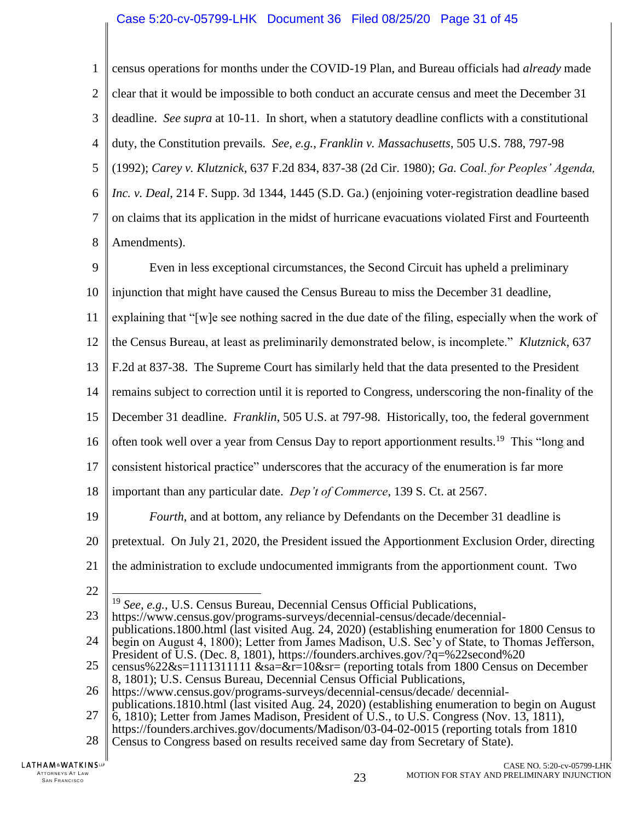### <span id="page-30-1"></span><span id="page-30-0"></span>Case 5:20-cv-05799-LHK Document 36 Filed 08/25/20 Page 31 of 45

1  $\mathcal{D}_{\mathcal{L}}$ 3 4 5 6 7 8 census operations for months under the COVID-19 Plan, and Bureau officials had *already* made clear that it would be impossible to both conduct an accurate census and meet the December 31 deadline. *See supra* at 10-11. In short, when a statutory deadline conflicts with a constitutional duty, the Constitution prevails. *See, e.g.*, *Franklin v. Massachusetts*, 505 U.S. 788, 797-98 (1992); *Carey v. Klutznick*, 637 F.2d 834, 837-38 (2d Cir. 1980); *Ga. Coal. for Peoples' Agenda, Inc. v. Deal*, 214 F. Supp. 3d 1344, 1445 (S.D. Ga.) (enjoining voter-registration deadline based on claims that its application in the midst of hurricane evacuations violated First and Fourteenth Amendments).

9 10 11 12 13 14 15 16 17 18 19 20 21 22 23 24 25 26 27 Even in less exceptional circumstances, the Second Circuit has upheld a preliminary injunction that might have caused the Census Bureau to miss the December 31 deadline, explaining that "[w]e see nothing sacred in the due date of the filing, especially when the work of the Census Bureau, at least as preliminarily demonstrated below, is incomplete." *Klutznick*, 637 F.2d at 837-38. The Supreme Court has similarly held that the data presented to the President remains subject to correction until it is reported to Congress, underscoring the non-finality of the December 31 deadline. *Franklin*, 505 U.S. at 797-98. Historically, too, the federal government often took well over a year from Census Day to report apportionment results.<sup>19</sup> This "long and consistent historical practice" underscores that the accuracy of the enumeration is far more important than any particular date. *Dep't of Commerce*, 139 S. Ct. at 2567. *Fourth*, and at bottom, any reliance by Defendants on the December 31 deadline is pretextual. On July 21, 2020, the President issued the Apportionment Exclusion Order, directing the administration to exclude undocumented immigrants from the apportionment count. Two  $\overline{a}$ <sup>19</sup> *See, e.g.*, U.S. Census Bureau, Decennial Census Official Publications, https://www.census.gov/programs-surveys/decennial-census/decade/decennialpublications.1800.html (last visited Aug. 24, 2020) (establishing enumeration for 1800 Census to begin on August 4, 1800); Letter from James Madison, U.S. Sec'y of State, to Thomas Jefferson, President of U.S. (Dec. 8, 1801), https://founders.archives.gov/?q=%22second%20 census%22&s=1111311111 &sa=&r=10&sr= (reporting totals from 1800 Census on December 8, 1801); U.S. Census Bureau, Decennial Census Official Publications, https://www.census.gov/programs-surveys/decennial-census/decade/ decennialpublications.1810.html (last visited Aug. 24, 2020) (establishing enumeration to begin on August 6, 1810); Letter from James Madison, President of U.S., to U.S. Congress (Nov. 13, 1811),

<span id="page-30-4"></span><span id="page-30-3"></span><span id="page-30-2"></span>28 Census to Congress based on results received same day from Secretary of State).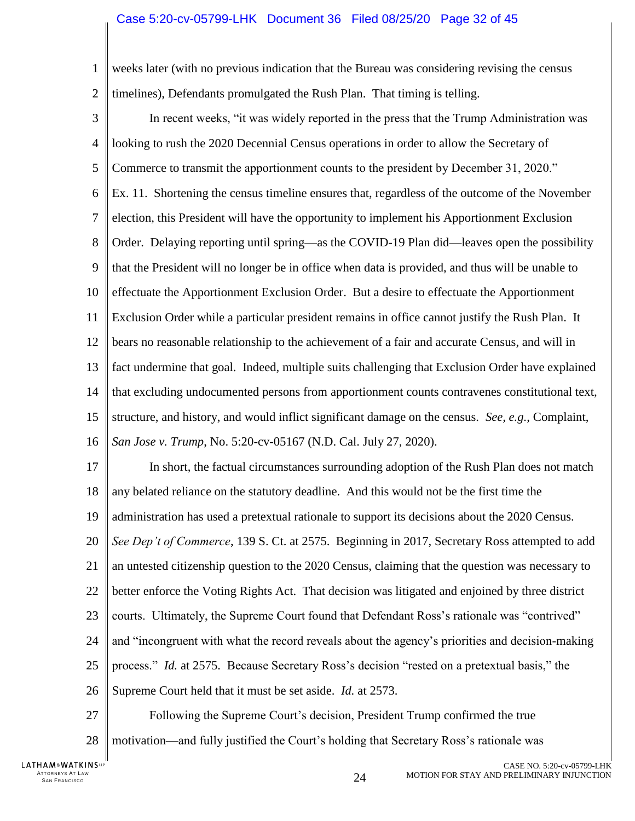### Case 5:20-cv-05799-LHK Document 36 Filed 08/25/20 Page 32 of 45

1  $\overline{2}$ weeks later (with no previous indication that the Bureau was considering revising the census timelines), Defendants promulgated the Rush Plan. That timing is telling.

3 4 5 6 7 8 9 10 11 12 13 14 15 16 In recent weeks, "it was widely reported in the press that the Trump Administration was looking to rush the 2020 Decennial Census operations in order to allow the Secretary of Commerce to transmit the apportionment counts to the president by December 31, 2020." Ex. 11. Shortening the census timeline ensures that, regardless of the outcome of the November election, this President will have the opportunity to implement his Apportionment Exclusion Order. Delaying reporting until spring—as the COVID-19 Plan did—leaves open the possibility that the President will no longer be in office when data is provided, and thus will be unable to effectuate the Apportionment Exclusion Order. But a desire to effectuate the Apportionment Exclusion Order while a particular president remains in office cannot justify the Rush Plan. It bears no reasonable relationship to the achievement of a fair and accurate Census, and will in fact undermine that goal. Indeed, multiple suits challenging that Exclusion Order have explained that excluding undocumented persons from apportionment counts contravenes constitutional text, structure, and history, and would inflict significant damage on the census. *See, e.g.*, Complaint, *San Jose v. Trump*, No. 5:20-cv-05167 (N.D. Cal. July 27, 2020).

17 18 19 20 21 22 23 24 25 26 In short, the factual circumstances surrounding adoption of the Rush Plan does not match any belated reliance on the statutory deadline. And this would not be the first time the administration has used a pretextual rationale to support its decisions about the 2020 Census. *See Dep't of Commerce*, 139 S. Ct. at 2575. Beginning in 2017, Secretary Ross attempted to add an untested citizenship question to the 2020 Census, claiming that the question was necessary to better enforce the Voting Rights Act. That decision was litigated and enjoined by three district courts. Ultimately, the Supreme Court found that Defendant Ross's rationale was "contrived" and "incongruent with what the record reveals about the agency's priorities and decision-making process." *Id.* at 2575. Because Secretary Ross's decision "rested on a pretextual basis," the Supreme Court held that it must be set aside. *Id.* at 2573.

27 28 Following the Supreme Court's decision, President Trump confirmed the true motivation—and fully justified the Court's holding that Secretary Ross's rationale was

LATHAM&WATKINSLP ATTORNEYS AT LAW<br>SAN FRANCISCO TTORNEYS AT LAW  $24$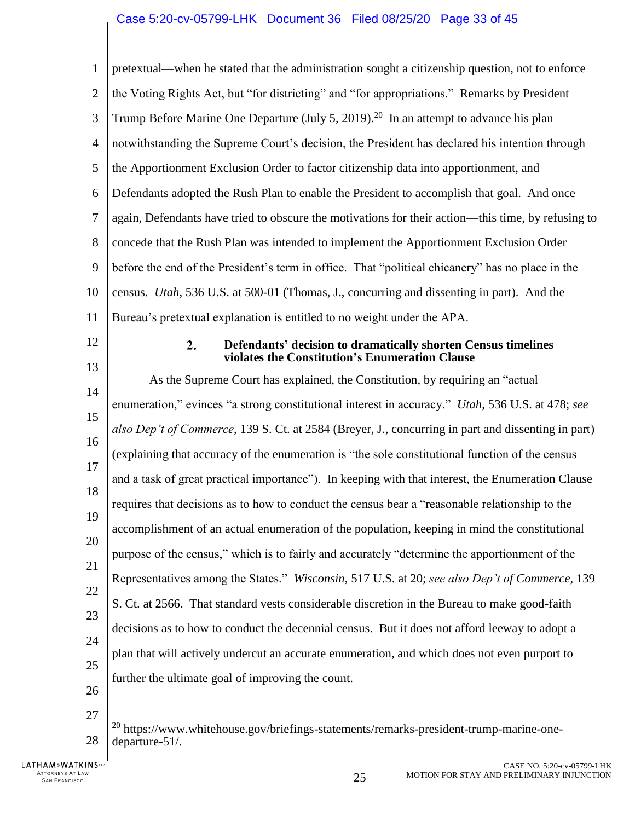<span id="page-32-1"></span><span id="page-32-0"></span>

| $\mathbf{1}$   | pretextual—when he stated that the administration sought a citizenship question, not to enforce                       |
|----------------|-----------------------------------------------------------------------------------------------------------------------|
| $\overline{2}$ | the Voting Rights Act, but "for districting" and "for appropriations." Remarks by President                           |
| 3              | Trump Before Marine One Departure (July 5, 2019). <sup>20</sup> In an attempt to advance his plan                     |
| $\overline{4}$ | notwithstanding the Supreme Court's decision, the President has declared his intention through                        |
| 5              | the Apportionment Exclusion Order to factor citizenship data into apportionment, and                                  |
| 6              | Defendants adopted the Rush Plan to enable the President to accomplish that goal. And once                            |
| 7              | again, Defendants have tried to obscure the motivations for their action—this time, by refusing to                    |
| 8              | concede that the Rush Plan was intended to implement the Apportionment Exclusion Order                                |
| 9              | before the end of the President's term in office. That "political chicanery" has no place in the                      |
| 10             | census. <i>Utah</i> , 536 U.S. at 500-01 (Thomas, J., concurring and dissenting in part). And the                     |
| 11             | Bureau's pretextual explanation is entitled to no weight under the APA.                                               |
| 12             | 2.<br>Defendants' decision to dramatically shorten Census timelines<br>violates the Constitution's Enumeration Clause |
| 13             |                                                                                                                       |
| 14             | As the Supreme Court has explained, the Constitution, by requiring an "actual"                                        |
| 15             | enumeration," evinces "a strong constitutional interest in accuracy." <i>Utah</i> , 536 U.S. at 478; see              |
| 16             | also Dep't of Commerce, 139 S. Ct. at 2584 (Breyer, J., concurring in part and dissenting in part)                    |
| 17             | (explaining that accuracy of the enumeration is "the sole constitutional function of the census                       |
| 18             | and a task of great practical importance"). In keeping with that interest, the Enumeration Clause                     |
| 19             | requires that decisions as to how to conduct the census bear a "reasonable relationship to the                        |
| 20             | accomplishment of an actual enumeration of the population, keeping in mind the constitutional                         |
| 21             | purpose of the census," which is to fairly and accurately "determine the apportionment of the                         |
| 22             | Representatives among the States." Wisconsin, 517 U.S. at 20; see also Dep't of Commerce, 139                         |
| 23             | S. Ct. at 2566. That standard vests considerable discretion in the Bureau to make good-faith                          |
| 24             | decisions as to how to conduct the decennial census. But it does not afford leeway to adopt a                         |
| 25             | plan that will actively undercut an accurate enumeration, and which does not even purport to                          |
| 26             | further the ultimate goal of improving the count.                                                                     |
| 27             |                                                                                                                       |
| 28             | <sup>20</sup> https://www.whitehouse.gov/briefings-statements/remarks-president-trump-marine-one-<br>departure-51/.   |

ATTORNEYS AT LAW  $\,$  San Francisco  $\,$  25  $\,$ 

<span id="page-32-2"></span> $\parallel$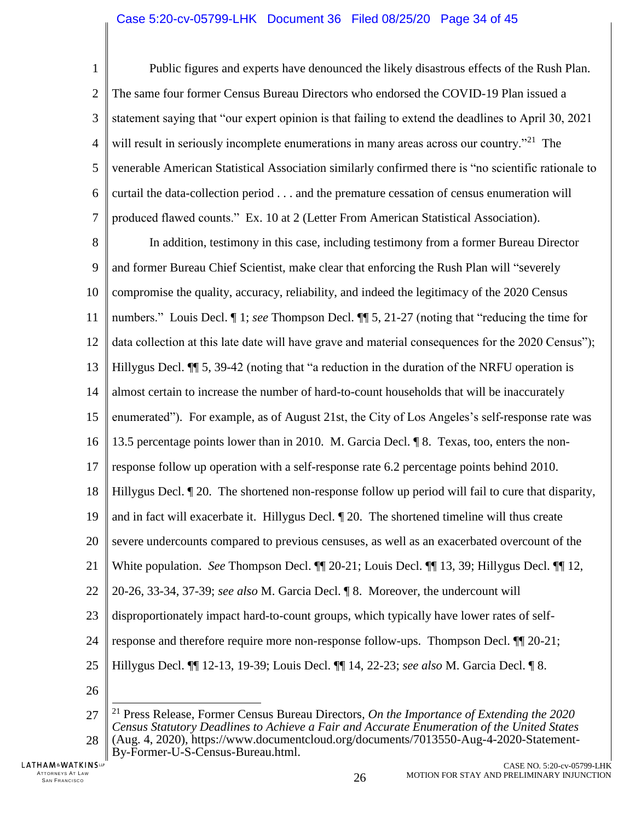1  $\overline{2}$ 3 4 5 6 7 Public figures and experts have denounced the likely disastrous effects of the Rush Plan. The same four former Census Bureau Directors who endorsed the COVID-19 Plan issued a statement saying that "our expert opinion is that failing to extend the deadlines to April 30, 2021 will result in seriously incomplete enumerations in many areas across our country."<sup>21</sup> The venerable American Statistical Association similarly confirmed there is "no scientific rationale to curtail the data-collection period . . . and the premature cessation of census enumeration will produced flawed counts." Ex. 10 at 2 (Letter From American Statistical Association).

8 9 10 11 12 13 14 15 16 17 18 19 20 21 22 23 24 25 In addition, testimony in this case, including testimony from a former Bureau Director and former Bureau Chief Scientist, make clear that enforcing the Rush Plan will "severely compromise the quality, accuracy, reliability, and indeed the legitimacy of the 2020 Census numbers." Louis Decl. ¶ 1; *see* Thompson Decl. ¶¶ 5, 21-27 (noting that "reducing the time for data collection at this late date will have grave and material consequences for the 2020 Census"); Hillygus Decl. ¶¶ 5, 39-42 (noting that "a reduction in the duration of the NRFU operation is almost certain to increase the number of hard-to-count households that will be inaccurately enumerated"). For example, as of August 21st, the City of Los Angeles's self-response rate was 13.5 percentage points lower than in 2010. M. Garcia Decl. ¶ 8. Texas, too, enters the nonresponse follow up operation with a self-response rate 6.2 percentage points behind 2010. Hillygus Decl. ¶ 20. The shortened non-response follow up period will fail to cure that disparity, and in fact will exacerbate it. Hillygus Decl. ¶ 20. The shortened timeline will thus create severe undercounts compared to previous censuses, as well as an exacerbated overcount of the White population. *See* Thompson Decl. ¶¶ 20-21; Louis Decl. ¶¶ 13, 39; Hillygus Decl. ¶¶ 12, 20-26, 33-34, 37-39; *see also* M. Garcia Decl. ¶ 8. Moreover, the undercount will disproportionately impact hard-to-count groups, which typically have lower rates of selfresponse and therefore require more non-response follow-ups. Thompson Decl. ¶¶ 20-21; Hillygus Decl. ¶¶ 12-13, 19-39; Louis Decl. ¶¶ 14, 22-23; *see also* M. Garcia Decl. ¶ 8.

26

<span id="page-33-0"></span><sup>27</sup> 28  $\overline{a}$ <sup>21</sup> Press Release, Former Census Bureau Directors*, On the Importance of Extending the 2020 Census Statutory Deadlines to Achieve a Fair and Accurate Enumeration of the United States* (Aug. 4, 2020), https://www.documentcloud.org/documents/7013550-Aug-4-2020-Statement-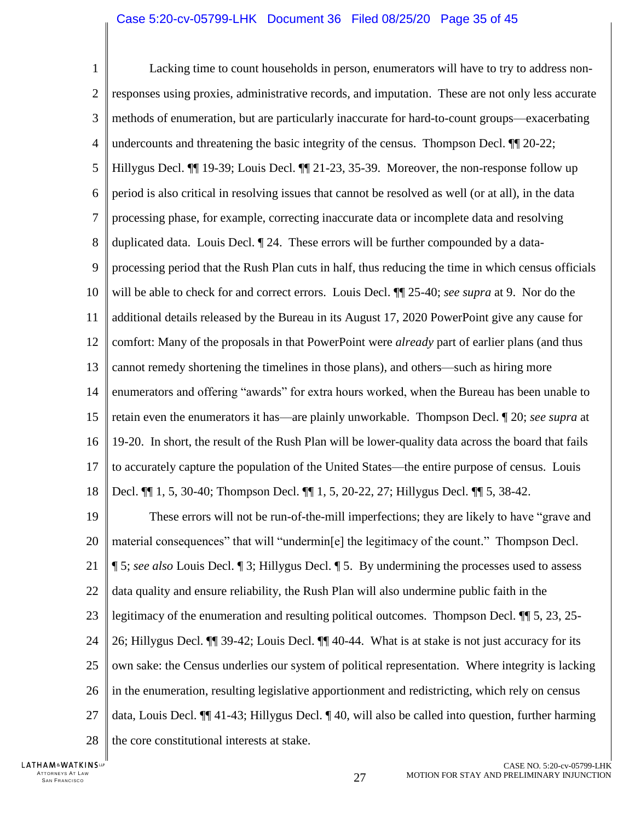1  $\overline{2}$ 3 4 5 6 7 8 9 10 11 12 13 14 15 16 17 18 19 20 21 22 23 24 Lacking time to count households in person, enumerators will have to try to address nonresponses using proxies, administrative records, and imputation. These are not only less accurate methods of enumeration, but are particularly inaccurate for hard-to-count groups—exacerbating undercounts and threatening the basic integrity of the census. Thompson Decl. ¶¶ 20-22; Hillygus Decl. ¶¶ 19-39; Louis Decl. ¶¶ 21-23, 35-39. Moreover, the non-response follow up period is also critical in resolving issues that cannot be resolved as well (or at all), in the data processing phase, for example, correcting inaccurate data or incomplete data and resolving duplicated data. Louis Decl. ¶ 24. These errors will be further compounded by a dataprocessing period that the Rush Plan cuts in half, thus reducing the time in which census officials will be able to check for and correct errors. Louis Decl. ¶¶ 25-40; *see supra* at 9. Nor do the additional details released by the Bureau in its August 17, 2020 PowerPoint give any cause for comfort: Many of the proposals in that PowerPoint were *already* part of earlier plans (and thus cannot remedy shortening the timelines in those plans), and others—such as hiring more enumerators and offering "awards" for extra hours worked, when the Bureau has been unable to retain even the enumerators it has—are plainly unworkable. Thompson Decl. ¶ 20; *see supra* at 19-20. In short, the result of the Rush Plan will be lower-quality data across the board that fails to accurately capture the population of the United States—the entire purpose of census. Louis Decl. ¶¶ 1, 5, 30-40; Thompson Decl. ¶¶ 1, 5, 20-22, 27; Hillygus Decl. ¶¶ 5, 38-42. These errors will not be run-of-the-mill imperfections; they are likely to have "grave and material consequences" that will "undermin[e] the legitimacy of the count." Thompson Decl. ¶ 5; *see also* Louis Decl. ¶ 3; Hillygus Decl. ¶ 5. By undermining the processes used to assess data quality and ensure reliability, the Rush Plan will also undermine public faith in the legitimacy of the enumeration and resulting political outcomes. Thompson Decl. ¶¶ 5, 23, 25- 26; Hillygus Decl. ¶¶ 39-42; Louis Decl. ¶¶ 40-44. What is at stake is not just accuracy for its

25 26 27 own sake: the Census underlies our system of political representation. Where integrity is lacking in the enumeration, resulting legislative apportionment and redistricting, which rely on census data, Louis Decl. ¶¶ 41-43; Hillygus Decl. ¶ 40, will also be called into question, further harming

28 the core constitutional interests at stake.

LATHAM&WATKINSLP ATTORNEYS AT LAW<br>SAN FRANCISCO TTORNEYS AT LAW  $27$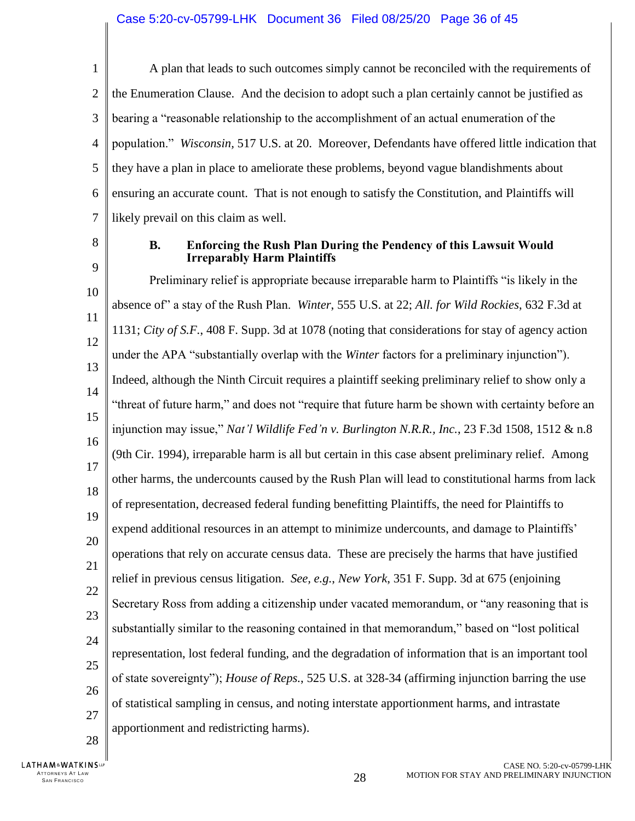1  $\overline{\mathcal{L}}$ 3 4 5 6 7 A plan that leads to such outcomes simply cannot be reconciled with the requirements of the Enumeration Clause. And the decision to adopt such a plan certainly cannot be justified as bearing a "reasonable relationship to the accomplishment of an actual enumeration of the population." *Wisconsin,* 517 U.S. at 20. Moreover, Defendants have offered little indication that they have a plan in place to ameliorate these problems, beyond vague blandishments about ensuring an accurate count. That is not enough to satisfy the Constitution, and Plaintiffs will likely prevail on this claim as well.

<span id="page-35-0"></span>8

9

### **B. Enforcing the Rush Plan During the Pendency of this Lawsuit Would Irreparably Harm Plaintiffs**

10 11 12 13 14 15 16 17 18 19 20 21 22 23 24 25 26 27 28 Preliminary relief is appropriate because irreparable harm to Plaintiffs "is likely in the absence of" a stay of the Rush Plan. *Winter*, 555 U.S. at 22; *All. for Wild Rockies*, 632 F.3d at 1131; *City of S.F.*, 408 F. Supp. 3d at 1078 (noting that considerations for stay of agency action under the APA "substantially overlap with the *Winter* factors for a preliminary injunction"). Indeed, although the Ninth Circuit requires a plaintiff seeking preliminary relief to show only a "threat of future harm," and does not "require that future harm be shown with certainty before an injunction may issue," *Nat'l Wildlife Fed'n v. Burlington N.R.R., Inc.*, 23 F.3d 1508, 1512 & n.8 (9th Cir. 1994), irreparable harm is all but certain in this case absent preliminary relief. Among other harms, the undercounts caused by the Rush Plan will lead to constitutional harms from lack of representation, decreased federal funding benefitting Plaintiffs, the need for Plaintiffs to expend additional resources in an attempt to minimize undercounts, and damage to Plaintiffs' operations that rely on accurate census data. These are precisely the harms that have justified relief in previous census litigation. *See, e.g.*, *New York*, 351 F. Supp. 3d at 675 (enjoining Secretary Ross from adding a citizenship under vacated memorandum, or "any reasoning that is substantially similar to the reasoning contained in that memorandum," based on "lost political representation, lost federal funding, and the degradation of information that is an important tool of state sovereignty"); *House of Reps.*, 525 U.S. at 328-34 (affirming injunction barring the use of statistical sampling in census, and noting interstate apportionment harms, and intrastate apportionment and redistricting harms).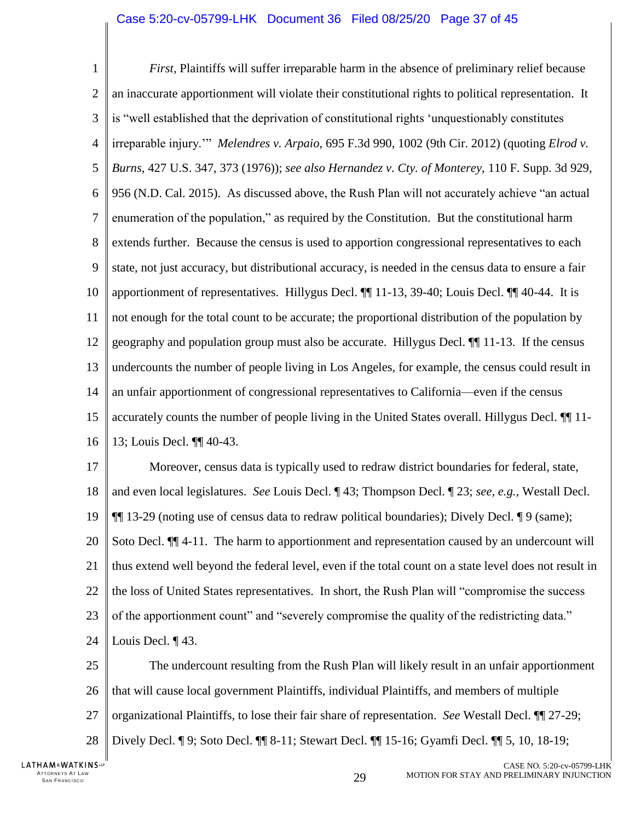### <span id="page-36-0"></span>Case 5:20-cv-05799-LHK Document 36 Filed 08/25/20 Page 37 of 45

<span id="page-36-1"></span>1  $\mathcal{D}_{\mathcal{L}}$ 3 4 5 6 7 8 9 10 11 12 13 14 15 16 *First,* Plaintiffs will suffer irreparable harm in the absence of preliminary relief because an inaccurate apportionment will violate their constitutional rights to political representation. It is "well established that the deprivation of constitutional rights 'unquestionably constitutes irreparable injury.'" *Melendres v. Arpaio*, 695 F.3d 990, 1002 (9th Cir. 2012) (quoting *Elrod v. Burns*, 427 U.S. 347, 373 (1976)); *see also Hernandez v. Cty. of Monterey*, 110 F. Supp. 3d 929, 956 (N.D. Cal. 2015). As discussed above, the Rush Plan will not accurately achieve "an actual enumeration of the population," as required by the Constitution. But the constitutional harm extends further. Because the census is used to apportion congressional representatives to each state, not just accuracy, but distributional accuracy, is needed in the census data to ensure a fair apportionment of representatives. Hillygus Decl. ¶¶ 11-13, 39-40; Louis Decl. ¶¶ 40-44. It is not enough for the total count to be accurate; the proportional distribution of the population by geography and population group must also be accurate. Hillygus Decl. ¶¶ 11-13. If the census undercounts the number of people living in Los Angeles, for example, the census could result in an unfair apportionment of congressional representatives to California—even if the census accurately counts the number of people living in the United States overall. Hillygus Decl. ¶¶ 11- 13; Louis Decl. ¶¶ 40-43.

17 18 19 20 21 22 23 24 Moreover, census data is typically used to redraw district boundaries for federal, state, and even local legislatures. *See* Louis Decl. ¶ 43; Thompson Decl. ¶ 23; *see, e.g.*, Westall Decl. ¶¶ 13-29 (noting use of census data to redraw political boundaries); Dively Decl. ¶ 9 (same); Soto Decl.  $\P$  4-11. The harm to apportionment and representation caused by an undercount will thus extend well beyond the federal level, even if the total count on a state level does not result in the loss of United States representatives. In short, the Rush Plan will "compromise the success of the apportionment count" and "severely compromise the quality of the redistricting data." Louis Decl. ¶ 43.

25 26 27 28 The undercount resulting from the Rush Plan will likely result in an unfair apportionment that will cause local government Plaintiffs, individual Plaintiffs, and members of multiple organizational Plaintiffs, to lose their fair share of representation. *See* Westall Decl. ¶¶ 27-29; Dively Decl. ¶ 9; Soto Decl. ¶¶ 8-11; Stewart Decl. ¶¶ 15-16; Gyamfi Decl. ¶¶ 5, 10, 18-19;

LATHAM&WATKINSLP ATTORNEYS AT LAW<br>SAN FRANCISCO TTORNEYS AT LAW  $\,$  same transition of the set of the set of the set of the set of the set of the set of the set of the set of the set of the set of the set of the set of the set of the set of the set of the set of the s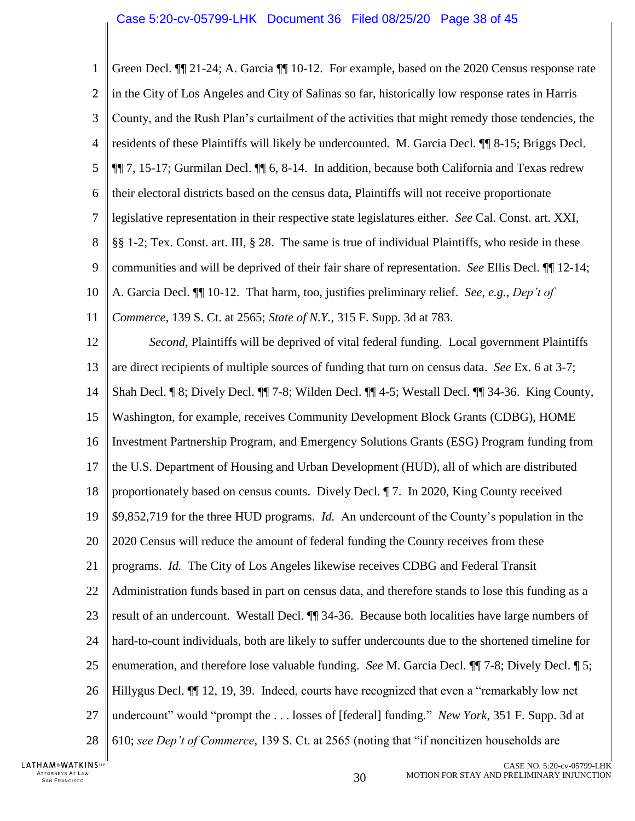<span id="page-37-2"></span>

| Green Decl. III 21-24; A. Garcia III 10-12. For example, based on the 2020 Census response rate     |
|-----------------------------------------------------------------------------------------------------|
| in the City of Los Angeles and City of Salinas so far, historically low response rates in Harris    |
| County, and the Rush Plan's curtailment of the activities that might remedy those tendencies, the   |
| residents of these Plaintiffs will likely be undercounted. M. Garcia Decl. II 8-15; Briggs Decl.    |
| 11 7, 15-17; Gurmilan Decl. 11 6, 8-14. In addition, because both California and Texas redrew       |
| their electoral districts based on the census data, Plaintiffs will not receive proportionate       |
| legislative representation in their respective state legislatures either. See Cal. Const. art. XXI, |
| §§ 1-2; Tex. Const. art. III, § 28. The same is true of individual Plaintiffs, who reside in these  |
| communities and will be deprived of their fair share of representation. See Ellis Decl. II 12-14;   |
| A. Garcia Decl. III 10-12. That harm, too, justifies preliminary relief. See, e.g., Dep't of        |
| Commerce, 139 S. Ct. at 2565; State of N.Y., 315 F. Supp. 3d at 783.                                |
| Second, Plaintiffs will be deprived of vital federal funding. Local government Plaintiffs           |
| are direct recipients of multiple sources of funding that turn on census data. See Ex. 6 at 3-7;    |
| Shah Decl. 18; Dively Decl. 11 7-8; Wilden Decl. 11 4-5; Westall Decl. 11 34-36. King County,       |
| Washington, for example, receives Community Development Block Grants (CDBG), HOME                   |
| Investment Partnership Program, and Emergency Solutions Grants (ESG) Program funding from           |
| the U.S. Department of Housing and Urban Development (HUD), all of which are distributed            |
| proportionately based on census counts. Dively Decl. 17. In 2020, King County received              |
| \$9,852,719 for the three HUD programs. <i>Id.</i> An undercount of the County's population in the  |
| 2020 Census will reduce the amount of federal funding the County receives from these                |
| programs. Id. The City of Los Angeles likewise receives CDBG and Federal Transit                    |
| Administration funds based in part on census data, and therefore stands to lose this funding as a   |
| result of an undercount. Westall Decl. 11 34-36. Because both localities have large numbers of      |
| hard-to-count individuals, both are likely to suffer undercounts due to the shortened timeline for  |
| enumeration, and therefore lose valuable funding. See M. Garcia Decl. ¶ 7-8; Dively Decl. ¶ 5;      |
| Hillygus Decl. II 12, 19, 39. Indeed, courts have recognized that even a "remarkably low net        |
| undercount" would "prompt the  losses of [federal] funding." New York, 351 F. Supp. 3d at           |
| 610; see Dep't of Commerce, 139 S. Ct. at 2565 (noting that "if noncitizen households are           |
|                                                                                                     |

ATTORNEYS AT LAW  $_{\rm San\,Fran\,Cisco}$ 

<span id="page-37-1"></span><span id="page-37-0"></span> $\parallel$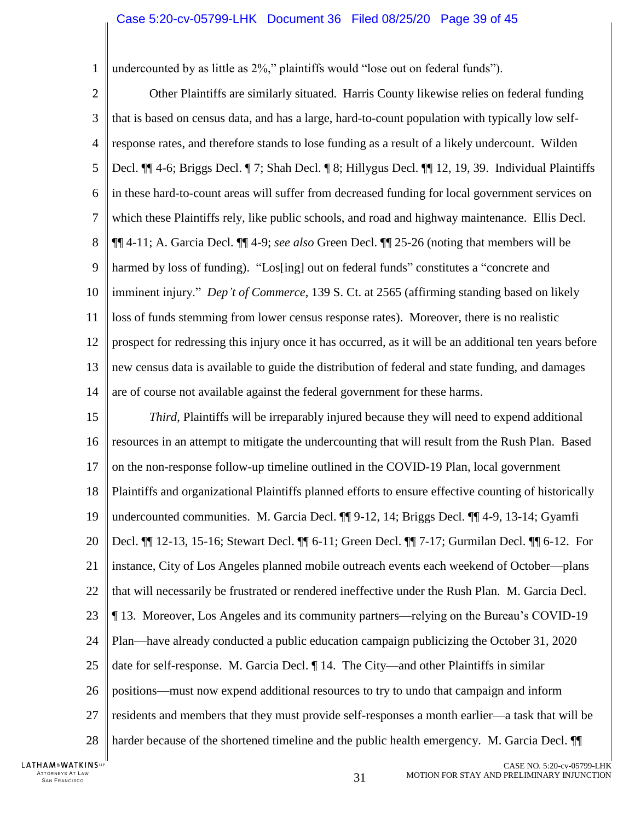undercounted by as little as 2%," plaintiffs would "lose out on federal funds").

 $\mathfrak{D}$ 3 4 5 6 7 8 9 10 11 12 13 14 Other Plaintiffs are similarly situated. Harris County likewise relies on federal funding that is based on census data, and has a large, hard-to-count population with typically low selfresponse rates, and therefore stands to lose funding as a result of a likely undercount. Wilden Decl. ¶¶ 4-6; Briggs Decl. ¶ 7; Shah Decl. ¶ 8; Hillygus Decl. ¶¶ 12, 19, 39. Individual Plaintiffs in these hard-to-count areas will suffer from decreased funding for local government services on which these Plaintiffs rely, like public schools, and road and highway maintenance. Ellis Decl. ¶¶ 4-11; A. Garcia Decl. ¶¶ 4-9; *see also* Green Decl. ¶¶ 25-26 (noting that members will be harmed by loss of funding). "Los[ing] out on federal funds" constitutes a "concrete and imminent injury." *Dep't of Commerce*, 139 S. Ct. at 2565 (affirming standing based on likely loss of funds stemming from lower census response rates). Moreover, there is no realistic prospect for redressing this injury once it has occurred, as it will be an additional ten years before new census data is available to guide the distribution of federal and state funding, and damages are of course not available against the federal government for these harms.

15 16 17 18 19 20 21 22 23 24 25 26 27 28 *Third*, Plaintiffs will be irreparably injured because they will need to expend additional resources in an attempt to mitigate the undercounting that will result from the Rush Plan. Based on the non-response follow-up timeline outlined in the COVID-19 Plan, local government Plaintiffs and organizational Plaintiffs planned efforts to ensure effective counting of historically undercounted communities. M. Garcia Decl. ¶¶ 9-12, 14; Briggs Decl. ¶¶ 4-9, 13-14; Gyamfi Decl. ¶¶ 12-13, 15-16; Stewart Decl. ¶¶ 6-11; Green Decl. ¶¶ 7-17; Gurmilan Decl. ¶¶ 6-12. For instance, City of Los Angeles planned mobile outreach events each weekend of October—plans that will necessarily be frustrated or rendered ineffective under the Rush Plan. M. Garcia Decl. ¶ 13. Moreover, Los Angeles and its community partners—relying on the Bureau's COVID-19 Plan—have already conducted a public education campaign publicizing the October 31, 2020 date for self-response. M. Garcia Decl. ¶ 14. The City—and other Plaintiffs in similar positions—must now expend additional resources to try to undo that campaign and inform residents and members that they must provide self-responses a month earlier—a task that will be harder because of the shortened timeline and the public health emergency. M. Garcia Decl.  $\P$ 

LATHAM&WATKINSLP ATTORNEYS AT LAW<br>SAN FRANCISCO TTORNEYS AT LAW  $31$ <br>SAN FRANCISCO  $31$ 

1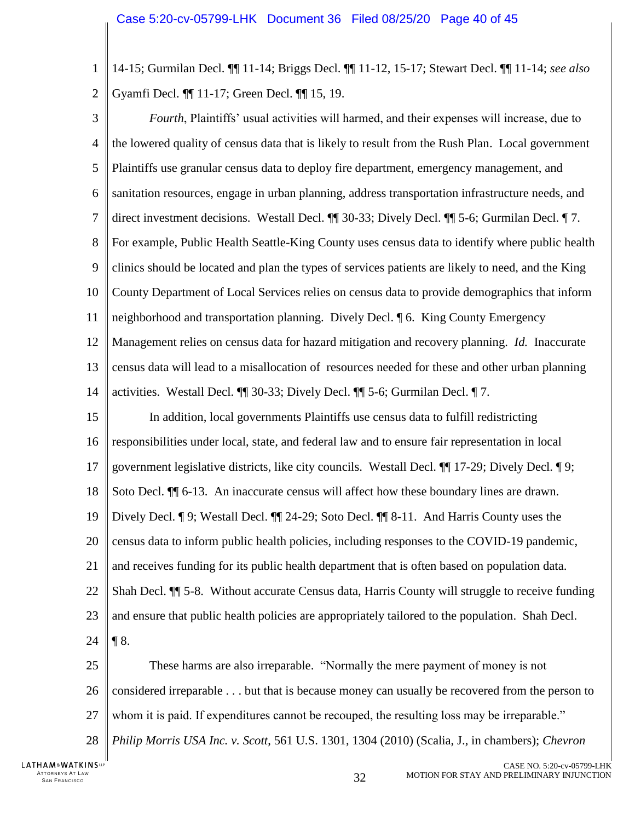1  $\overline{2}$ 14-15; Gurmilan Decl. ¶¶ 11-14; Briggs Decl. ¶¶ 11-12, 15-17; Stewart Decl. ¶¶ 11-14; *see also*  Gyamfi Decl. ¶¶ 11-17; Green Decl. ¶¶ 15, 19.

3 4 5 6 7 8 9 10 11 12 13 14 15 *Fourth*, Plaintiffs' usual activities will harmed, and their expenses will increase, due to the lowered quality of census data that is likely to result from the Rush Plan. Local government Plaintiffs use granular census data to deploy fire department, emergency management, and sanitation resources, engage in urban planning, address transportation infrastructure needs, and direct investment decisions. Westall Decl. ¶¶ 30-33; Dively Decl. ¶¶ 5-6; Gurmilan Decl. ¶ 7. For example, Public Health Seattle-King County uses census data to identify where public health clinics should be located and plan the types of services patients are likely to need, and the King County Department of Local Services relies on census data to provide demographics that inform neighborhood and transportation planning. Dively Decl. ¶ 6. King County Emergency Management relies on census data for hazard mitigation and recovery planning. *Id.* Inaccurate census data will lead to a misallocation of resources needed for these and other urban planning activities. Westall Decl. ¶¶ 30-33; Dively Decl. ¶¶ 5-6; Gurmilan Decl. ¶ 7. In addition, local governments Plaintiffs use census data to fulfill redistricting

16 17 18 19 20 21 22 23 24 responsibilities under local, state, and federal law and to ensure fair representation in local government legislative districts, like city councils. Westall Decl. ¶¶ 17-29; Dively Decl. ¶ 9; Soto Decl.  $\P$  6-13. An inaccurate census will affect how these boundary lines are drawn. Dively Decl. ¶ 9; Westall Decl. ¶¶ 24-29; Soto Decl. ¶¶ 8-11. And Harris County uses the census data to inform public health policies, including responses to the COVID-19 pandemic, and receives funding for its public health department that is often based on population data. Shah Decl. ¶¶ 5-8. Without accurate Census data, Harris County will struggle to receive funding and ensure that public health policies are appropriately tailored to the population. Shah Decl.  $\P 8$ .

<span id="page-39-1"></span><span id="page-39-0"></span>25 26 27 28 These harms are also irreparable. "Normally the mere payment of money is not considered irreparable . . . but that is because money can usually be recovered from the person to whom it is paid. If expenditures cannot be recouped, the resulting loss may be irreparable." *Philip Morris USA Inc. v. Scott*, 561 U.S. 1301, 1304 (2010) (Scalia, J., in chambers); *Chevron*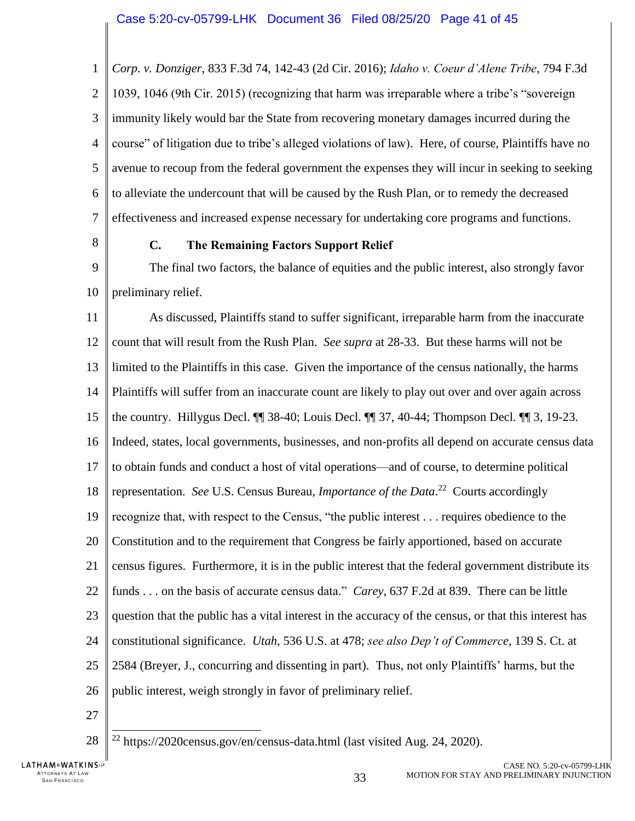1  $\overline{2}$ 3 4 5 6 7 *Corp. v. Donziger*, 833 F.3d 74, 142-43 (2d Cir. 2016); *Idaho v. Coeur d'Alene Tribe*, 794 F.3d 1039, 1046 (9th Cir. 2015) (recognizing that harm was irreparable where a tribe's "sovereign immunity likely would bar the State from recovering monetary damages incurred during the course" of litigation due to tribe's alleged violations of law). Here, of course, Plaintiffs have no avenue to recoup from the federal government the expenses they will incur in seeking to seeking to alleviate the undercount that will be caused by the Rush Plan, or to remedy the decreased effectiveness and increased expense necessary for undertaking core programs and functions.

<span id="page-40-0"></span>8

## <span id="page-40-1"></span>**C. The Remaining Factors Support Relief**

9 10 The final two factors, the balance of equities and the public interest, also strongly favor preliminary relief.

11 12 13 14 15 16 17 18 19 20 21 22 23 24 25 26 As discussed, Plaintiffs stand to suffer significant, irreparable harm from the inaccurate count that will result from the Rush Plan. *See supra* at 28-33. But these harms will not be limited to the Plaintiffs in this case. Given the importance of the census nationally, the harms Plaintiffs will suffer from an inaccurate count are likely to play out over and over again across the country. Hillygus Decl. ¶¶ 38-40; Louis Decl. ¶¶ 37, 40-44; Thompson Decl. ¶¶ 3, 19-23. Indeed, states, local governments, businesses, and non-profits all depend on accurate census data to obtain funds and conduct a host of vital operations—and of course, to determine political representation. See U.S. Census Bureau, *Importance of the Data*.<sup>22</sup> Courts accordingly recognize that, with respect to the Census, "the public interest . . . requires obedience to the Constitution and to the requirement that Congress be fairly apportioned, based on accurate census figures. Furthermore, it is in the public interest that the federal government distribute its funds . . . on the basis of accurate census data." *Carey*, 637 F.2d at 839. There can be little question that the public has a vital interest in the accuracy of the census, or that this interest has constitutional significance. *Utah*, 536 U.S. at 478; *see also Dep't of Commerce*, 139 S. Ct. at 2584 (Breyer, J., concurring and dissenting in part). Thus, not only Plaintiffs' harms, but the public interest, weigh strongly in favor of preliminary relief.

27

<span id="page-40-2"></span> $\overline{a}$ 

28

<span id="page-40-3"></span> $^{22}$  https://2020census.gov/en/census-data.html (last visited Aug. 24, 2020).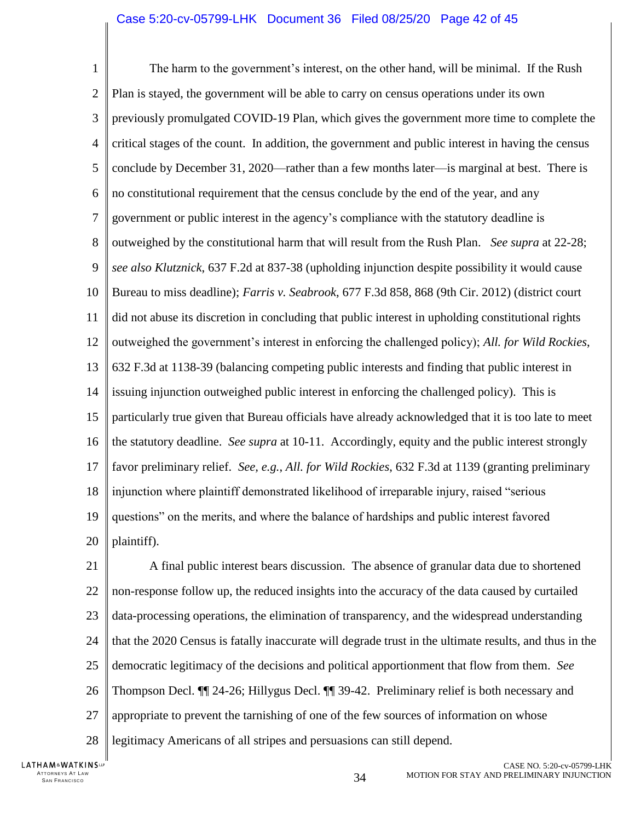<span id="page-41-1"></span>1  $\overline{\mathcal{L}}$ 3 4 5 6 7 8 9 10 11 12 13 14 15 16 17 18 19 20 The harm to the government's interest, on the other hand, will be minimal. If the Rush Plan is stayed, the government will be able to carry on census operations under its own previously promulgated COVID-19 Plan, which gives the government more time to complete the critical stages of the count. In addition, the government and public interest in having the census conclude by December 31, 2020—rather than a few months later—is marginal at best. There is no constitutional requirement that the census conclude by the end of the year, and any government or public interest in the agency's compliance with the statutory deadline is outweighed by the constitutional harm that will result from the Rush Plan. *See supra* at 22-28; *see also Klutznick*, 637 F.2d at 837-38 (upholding injunction despite possibility it would cause Bureau to miss deadline); *Farris v. Seabrook*, 677 F.3d 858, 868 (9th Cir. 2012) (district court did not abuse its discretion in concluding that public interest in upholding constitutional rights outweighed the government's interest in enforcing the challenged policy); *All. for Wild Rockies*, 632 F.3d at 1138-39 (balancing competing public interests and finding that public interest in issuing injunction outweighed public interest in enforcing the challenged policy). This is particularly true given that Bureau officials have already acknowledged that it is too late to meet the statutory deadline. *See supra* at 10-11. Accordingly, equity and the public interest strongly favor preliminary relief. *See, e.g.*, *All. for Wild Rockies*, 632 F.3d at 1139 (granting preliminary injunction where plaintiff demonstrated likelihood of irreparable injury, raised "serious questions" on the merits, and where the balance of hardships and public interest favored plaintiff).

<span id="page-41-0"></span>21 22 23 24 25 26 27 28 A final public interest bears discussion. The absence of granular data due to shortened non-response follow up, the reduced insights into the accuracy of the data caused by curtailed data-processing operations, the elimination of transparency, and the widespread understanding that the 2020 Census is fatally inaccurate will degrade trust in the ultimate results, and thus in the democratic legitimacy of the decisions and political apportionment that flow from them. *See*  Thompson Decl. ¶¶ 24-26; Hillygus Decl. ¶¶ 39-42. Preliminary relief is both necessary and appropriate to prevent the tarnishing of one of the few sources of information on whose legitimacy Americans of all stripes and persuasions can still depend.

LATHAM&WATKINSLP ATTORNEYS AT LAW<br>SAN FRANCISCO TTORNEYS AT LAW  $34$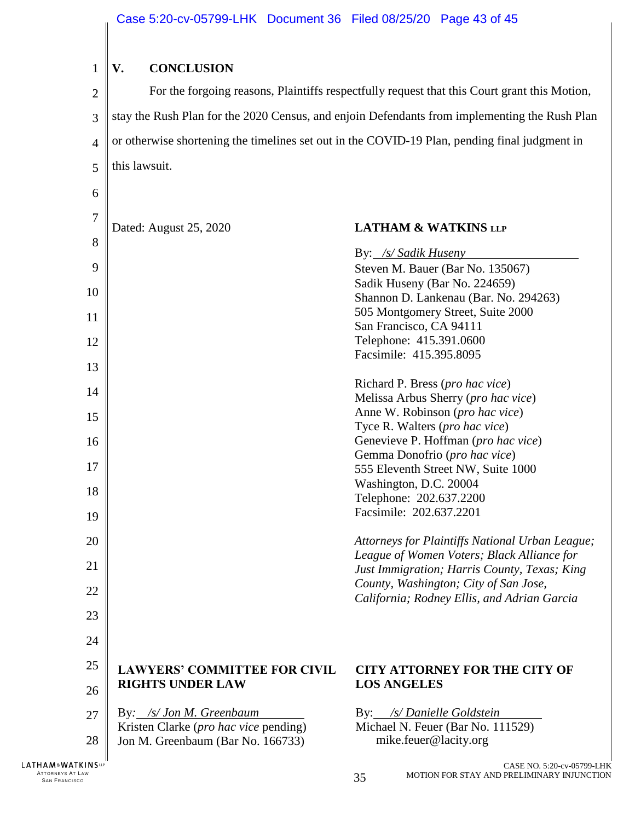<span id="page-42-0"></span>

| $\mathbf{1}$         | V.<br><b>CONCLUSION</b>                                                                       |                                                                                               |  |  |  |
|----------------------|-----------------------------------------------------------------------------------------------|-----------------------------------------------------------------------------------------------|--|--|--|
| $\overline{c}$       | For the forgoing reasons, Plaintiffs respectfully request that this Court grant this Motion,  |                                                                                               |  |  |  |
| 3                    | stay the Rush Plan for the 2020 Census, and enjoin Defendants from implementing the Rush Plan |                                                                                               |  |  |  |
| 4                    | or otherwise shortening the timelines set out in the COVID-19 Plan, pending final judgment in |                                                                                               |  |  |  |
| 5                    | this lawsuit.                                                                                 |                                                                                               |  |  |  |
| 6                    |                                                                                               |                                                                                               |  |  |  |
| $\overline{7}$       |                                                                                               |                                                                                               |  |  |  |
| 8                    | Dated: August 25, 2020                                                                        | <b>LATHAM &amp; WATKINS LLP</b>                                                               |  |  |  |
| 9                    |                                                                                               | By: /s/ Sadik Huseny<br>Steven M. Bauer (Bar No. 135067)                                      |  |  |  |
| 10                   |                                                                                               | Sadik Huseny (Bar No. 224659)                                                                 |  |  |  |
| 11                   |                                                                                               | Shannon D. Lankenau (Bar. No. 294263)<br>505 Montgomery Street, Suite 2000                    |  |  |  |
| 12                   |                                                                                               | San Francisco, CA 94111<br>Telephone: 415.391.0600                                            |  |  |  |
| 13                   |                                                                                               | Facsimile: 415.395.8095                                                                       |  |  |  |
| 14                   |                                                                                               | Richard P. Bress (pro hac vice)                                                               |  |  |  |
|                      |                                                                                               | Melissa Arbus Sherry (pro hac vice)<br>Anne W. Robinson (pro hac vice)                        |  |  |  |
| 15                   |                                                                                               | Tyce R. Walters (pro hac vice)                                                                |  |  |  |
| 16                   |                                                                                               | Genevieve P. Hoffman (pro hac vice)                                                           |  |  |  |
| 17                   |                                                                                               | Gemma Donofrio (pro hac vice)<br>555 Eleventh Street NW, Suite 1000                           |  |  |  |
| 18                   |                                                                                               | Washington, D.C. 20004                                                                        |  |  |  |
|                      |                                                                                               | Telephone: 202.637.2200                                                                       |  |  |  |
| 19                   |                                                                                               | Facsimile: 202.637.2201                                                                       |  |  |  |
| 20                   |                                                                                               | Attorneys for Plaintiffs National Urban League;<br>League of Women Voters; Black Alliance for |  |  |  |
| 21                   |                                                                                               | Just Immigration; Harris County, Texas; King                                                  |  |  |  |
| 22                   |                                                                                               | County, Washington; City of San Jose,<br>California; Rodney Ellis, and Adrian Garcia          |  |  |  |
| 23                   |                                                                                               |                                                                                               |  |  |  |
| 24                   |                                                                                               |                                                                                               |  |  |  |
| 25                   | <b>LAWYERS' COMMITTEE FOR CIVIL</b>                                                           | <b>CITY ATTORNEY FOR THE CITY OF</b>                                                          |  |  |  |
| 26                   | <b>RIGHTS UNDER LAW</b>                                                                       | <b>LOS ANGELES</b>                                                                            |  |  |  |
| 27                   | By: /s/ Jon M. Greenbaum                                                                      | By: /s/Danielle Goldstein                                                                     |  |  |  |
| 28                   | Kristen Clarke ( <i>pro hac vice</i> pending)<br>Jon M. Greenbaum (Bar No. 166733)            | Michael N. Feuer (Bar No. 111529)<br>mike.feuer@lacity.org                                    |  |  |  |
| <b>KINSUP</b><br>LAW |                                                                                               | CASE NO. 5:20-cv-05799-LHK<br>MOTION FOR STAY AND PRELIMINARY INJUNCTION<br>35                |  |  |  |

 $\begin{array}{c} \begin{array}{c} \begin{array}{c} \end{array} \end{array} \end{array}$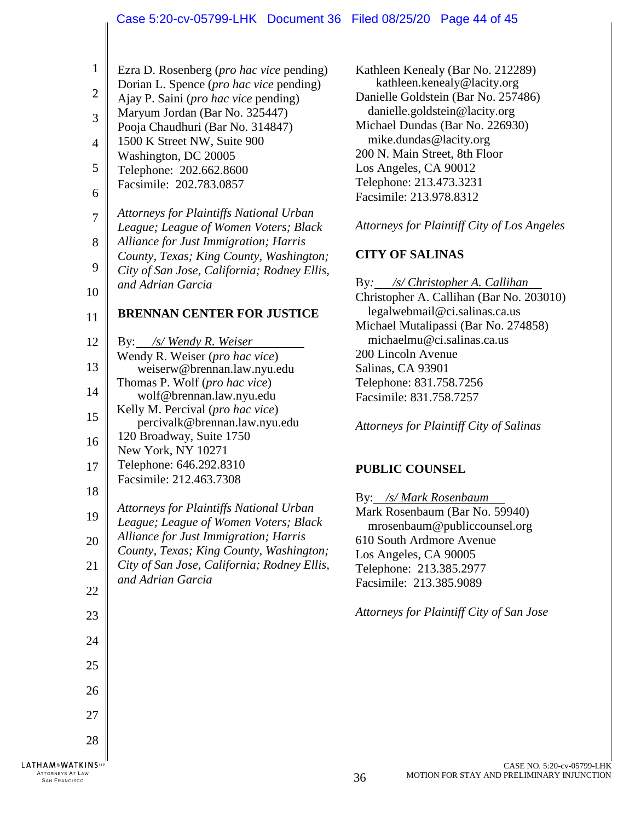### Case 5:20-cv-05799-LHK Document 36 Filed 08/25/20 Page 44 of 45

| 1   Ezra D. Rosenberg ( <i>pro hac vice</i> pending) |  |  |
|------------------------------------------------------|--|--|
|                                                      |  |  |

- $\overline{2}$ Dorian L. Spence (*pro hac vice* pending)
- Ajay P. Saini (*pro hac vice* pending)
- 3 Maryum Jordan (Bar No. 325447)
- Pooja Chaudhuri (Bar No. 314847)
- 4 5 1500 K Street NW, Suite 900 Washington, DC 20005
- 6 Telephone: 202.662.8600 Facsimile: 202.783.0857
- 7 8 *Attorneys for Plaintiffs National Urban League; League of Women Voters; Black Alliance for Just Immigration; Harris*
- 9 *County, Texas; King County, Washington; City of San Jose, California; Rodney Ellis,*
- 10 *and Adrian Garcia*

22

23

24

25

26

27

28

ATTORNEYS AT LAW<br>SAN FRANCISCO

**LATHAM&WATKINSLP** 

# **BRENNAN CENTER FOR JUSTICE**

- 12 13 14 15 16 17 By: */s/ Wendy R. Weiser* Wendy R. Weiser (*pro hac vice*) weiserw@brennan.law.nyu.edu Thomas P. Wolf (*pro hac vice*) wolf@brennan.law.nyu.edu Kelly M. Percival (*pro hac vice*) percivalk@brennan.law.nyu.edu 120 Broadway, Suite 1750 New York, NY 10271 Telephone: 646.292.8310 Facsimile: 212.463.7308
- 18 19 *Attorneys for Plaintiffs National Urban League; League of Women Voters; Black Alliance for Just Immigration; Harris*
- 20 21 *County, Texas; King County, Washington; City of San Jose, California; Rodney Ellis, and Adrian Garcia*

Kathleen Kenealy (Bar No. 212289) kathleen.kenealy@lacity.org Danielle Goldstein (Bar No. 257486) danielle.goldstein@lacity.org Michael Dundas (Bar No. 226930) mike.dundas@lacity.org 200 N. Main Street, 8th Floor Los Angeles, CA 90012 Telephone: 213.473.3231 Facsimile: 213.978.8312

# *Attorneys for Plaintiff City of Los Angeles*

# **CITY OF SALINAS**

By*: /s/ Christopher A. Callihan* Christopher A. Callihan (Bar No. 203010) legalwebmail@ci.salinas.ca.us Michael Mutalipassi (Bar No. 274858) michaelmu@ci.salinas.ca.us 200 Lincoln Avenue Salinas, CA 93901 Telephone: 831.758.7256 Facsimile: 831.758.7257

*Attorneys for Plaintiff City of Salinas*

# **PUBLIC COUNSEL**

By: */s/ Mark Rosenbaum* Mark Rosenbaum (Bar No. 59940) mrosenbaum@publiccounsel.org 610 South Ardmore Avenue Los Angeles, CA 90005 Telephone: 213.385.2977 Facsimile: 213.385.9089

*Attorneys for Plaintiff City of San Jose*